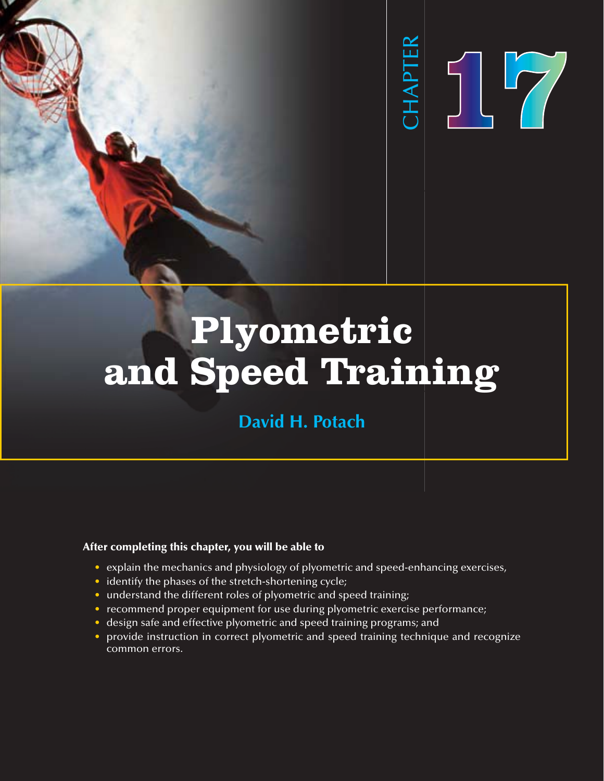

# **Plyometric and Speed Training**

# **David H. Potach**

### **After completing this chapter, you will be able to**

- explain the mechanics and physiology of plyometric and speed-enhancing exercises,
- identify the phases of the stretch-shortening cycle;
- understand the different roles of plyometric and speed training;
- recommend proper equipment for use during plyometric exercise performance;
- design safe and effective plyometric and speed training programs; and
- provide instruction in correct plyometric and speed training technique and recognize common errors.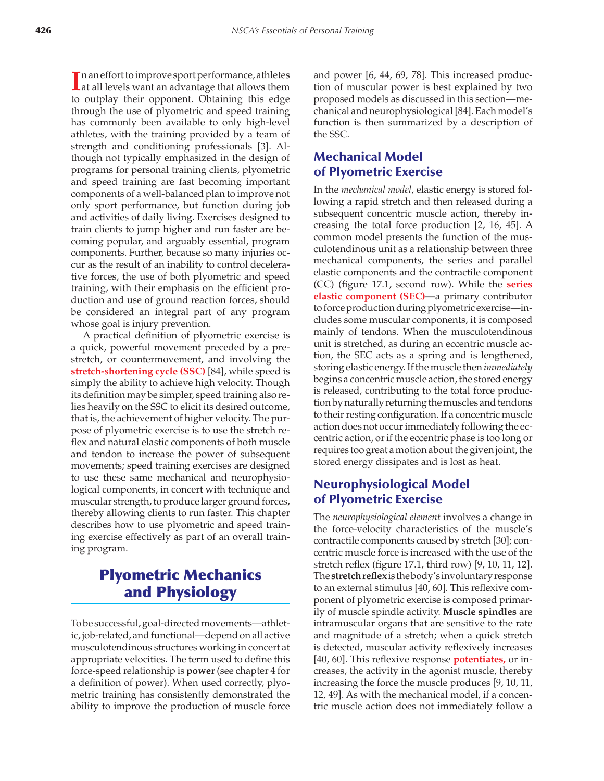In an effort to improve sport performance, athletes<br>
at all levels want an advantage that allows them at all levels want an advantage that allows them to outplay their opponent. Obtaining this edge through the use of plyometric and speed training has commonly been available to only high-level athletes, with the training provided by a team of strength and conditioning professionals [3]. Although not typically emphasized in the design of programs for personal training clients, plyometric and speed training are fast becoming important components of a well-balanced plan to improve not only sport performance, but function during job and activities of daily living. Exercises designed to train clients to jump higher and run faster are becoming popular, and arguably essential, program components. Further, because so many injuries occur as the result of an inability to control decelerative forces, the use of both plyometric and speed training, with their emphasis on the efficient production and use of ground reaction forces, should be considered an integral part of any program whose goal is injury prevention.

A practical definition of plyometric exercise is a quick, powerful movement preceded by a prestretch, or countermovement, and involving the **stretch-shortening cycle (SSC)** [84], while speed is simply the ability to achieve high velocity. Though its definition may be simpler, speed training also relies heavily on the SSC to elicit its desired outcome, that is, the achievement of higher velocity. The purpose of plyometric exercise is to use the stretch reflex and natural elastic components of both muscle and tendon to increase the power of subsequent movements; speed training exercises are designed to use these same mechanical and neurophysiological components, in concert with technique and muscular strength, to produce larger ground forces, thereby allowing clients to run faster. This chapter describes how to use plyometric and speed training exercise effectively as part of an overall training program.

# **Plyometric Mechanics and Physiology**

Tobe successful, goal-directed movements—athletic, job-related, and functional—depend on all active musculotendinous structures working in concert at appropriate velocities. The term used to define this force-speed relationship is **power** (see chapter 4 for a definition of power). When used correctly, plyometric training has consistently demonstrated the ability to improve the production of muscle force

and power [6, 44, 69, 78]. This increased production of muscular power is best explained by two proposed models as discussed in this section—mechanical and neurophysiological [84]. Each model's function is then summarized by a description of the SSC.

# **Mechanical Model of Plyometric Exercise**

In the *mechanical model*, elastic energy is stored following a rapid stretch and then released during a subsequent concentric muscle action, thereby increasing the total force production [2, 16, 45]. A common model presents the function of the musculotendinous unit as a relationship between three mechanical components, the series and parallel elastic components and the contractile component (CC) (figure 17.1, second row). While the **series elastic component (SEC)—**a primary contributor to force production during plyometric exercise—includes some muscular components, it is composed mainly of tendons. When the musculotendinous unit is stretched, as during an eccentric muscle action, the SEC acts as a spring and is lengthened, storing elastic energy. If the muscle then *immediately* begins a concentric muscle action, the stored energy is released, contributing to the total force production by naturally returning the muscles and tendons to their resting configuration. If a concentric muscle action does not occur immediately following the eccentric action, or if the eccentric phase is too long or requires too great a motion about the given joint, the stored energy dissipates and is lost as heat.

# **Neurophysiological Model of Plyometric Exercise**

The *neurophysiological element* involves a change in the force-velocity characteristics of the muscle's contractile components caused by stretch [30]; concentric muscle force is increased with the use of the stretch reflex (figure 17.1, third row) [9, 10, 11, 12]. The **stretch reflex**is the body's involuntary response to an external stimulus [40, 60]. This reflexive component of plyometric exercise is composed primarily of muscle spindle activity. **Muscle spindles** are intramuscular organs that are sensitive to the rate and magnitude of a stretch; when a quick stretch is detected, muscular activity reflexively increases [40, 60]. This reflexive response **potentiates,** or increases, the activity in the agonist muscle, thereby increasing the force the muscle produces [9, 10, 11, 12, 49]. As with the mechanical model, if a concentric muscle action does not immediately follow a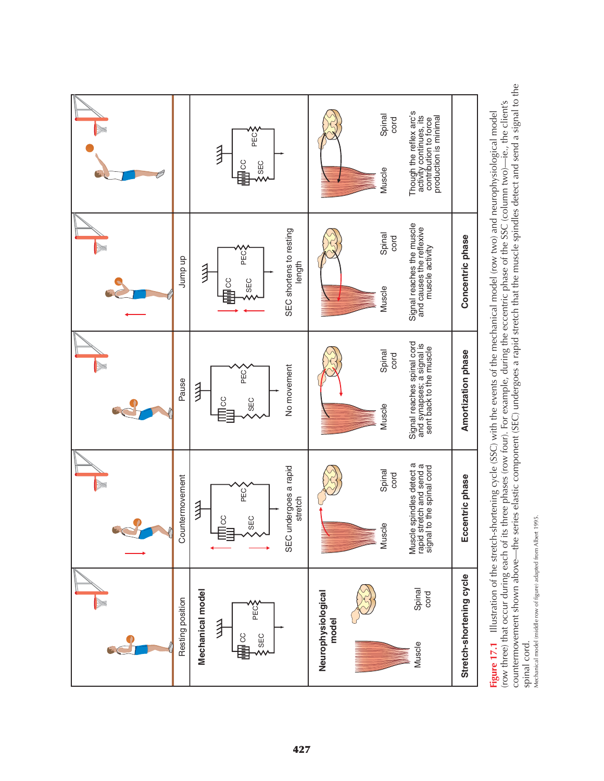

countermovement shown above—the series elastic component (SEC) undergoes a rapid stretch that the muscle spindles detect and send a signal to the **Figure 17.1** Illustration of the stretch-shortening cycle (SSC) with the events of the mechanical model (row two) and neurophysiological model (row three) that occur during each of its three phases (row four). For exampl (row three) that occur during each of its three phases (row four). For example, during the eccentric phase of the SSC (column two)—ie., the client's **Figure 17.1** Illustration of the stretch-shortening cycle (SSC) with the events of the mechanical model (row two) and neurophysiological model spinal cord.

Mechanical model (middle row of figure) adapted from Albert 1995. Mechanical model (middle row of figure) adapted from Albert 1995.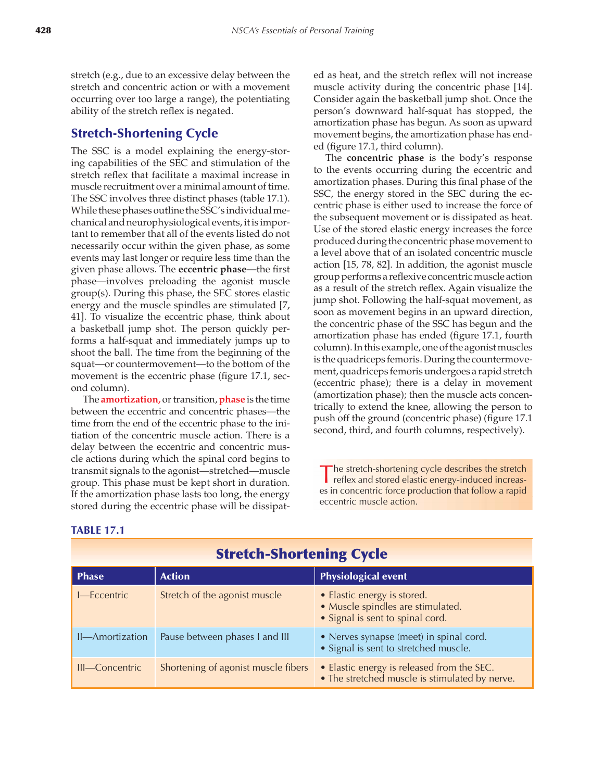stretch (e.g., due to an excessive delay between the stretch and concentric action or with a movement occurring over too large a range), the potentiating ability of the stretch reflex is negated.

### **Stretch-Shortening Cycle**

The SSC is a model explaining the energy-storing capabilities of the SEC and stimulation of the stretch reflex that facilitate a maximal increase in muscle recruitment over a minimal amount of time. The SSC involves three distinct phases (table 17.1). While these phases outline the SSC's individual mechanical and neurophysiological events, it is important to remember that all of the events listed do not necessarily occur within the given phase, as some events may last longer or require less time than the given phase allows. The **eccentric phase—**the first phase—involves preloading the agonist muscle group(s). During this phase, the SEC stores elastic energy and the muscle spindles are stimulated [7, 41]. To visualize the eccentric phase, think about a basketball jump shot. The person quickly performs a half-squat and immediately jumps up to shoot the ball. The time from the beginning of the squat—or countermovement—to the bottom of the movement is the eccentric phase (figure 17.1, second column).

The **amortization,** or transition, **phase** is the time between the eccentric and concentric phases—the time from the end of the eccentric phase to the initiation of the concentric muscle action. There is a delay between the eccentric and concentric muscle actions during which the spinal cord begins to transmit signals to the agonist—stretched—muscle group. This phase must be kept short in duration. If the amortization phase lasts too long, the energy stored during the eccentric phase will be dissipated as heat, and the stretch reflex will not increase muscle activity during the concentric phase [14]. Consider again the basketball jump shot. Once the person's downward half-squat has stopped, the amortization phase has begun. As soon as upward movement begins, the amortization phase has ended (figure 17.1, third column).

The **concentric phase** is the body's response to the events occurring during the eccentric and amortization phases. During this final phase of the SSC, the energy stored in the SEC during the eccentric phase is either used to increase the force of the subsequent movement or is dissipated as heat. Use of the stored elastic energy increases the force produced during the concentric phase movement to a level above that of an isolated concentric muscle action [15, 78, 82]. In addition, the agonist muscle group performs a reflexive concentric muscle action as a result of the stretch reflex. Again visualize the jump shot. Following the half-squat movement, as soon as movement begins in an upward direction, the concentric phase of the SSC has begun and the amortization phase has ended (figure 17.1, fourth column). In this example, one of the agonist muscles is the quadriceps femoris. During the countermovement, quadriceps femoris undergoes a rapid stretch (eccentric phase); there is a delay in movement (amortization phase); then the muscle acts concentrically to extend the knee, allowing the person to push off the ground (concentric phase) (figure 17.1 second, third, and fourth columns, respectively).

The stretch-shortening cycle describes the stretch reflex and stored elastic energy-induced increases in concentric force production that follow a rapid eccentric muscle action.

| $\frac{1}{2}$   |                                     |                                                                                                      |  |  |  |
|-----------------|-------------------------------------|------------------------------------------------------------------------------------------------------|--|--|--|
| <b>Phase</b>    | <b>Action</b>                       | <b>Physiological event</b>                                                                           |  |  |  |
| I-Eccentric     | Stretch of the agonist muscle       | • Elastic energy is stored.<br>• Muscle spindles are stimulated.<br>• Signal is sent to spinal cord. |  |  |  |
| Il-Amortization | Pause between phases I and III      | • Nerves synapse (meet) in spinal cord.<br>• Signal is sent to stretched muscle.                     |  |  |  |
| III-Concentric  | Shortening of agonist muscle fibers | • Elastic energy is released from the SEC.<br>• The stretched muscle is stimulated by nerve.         |  |  |  |

**Stretch-Shortening Cycle**

### **TABLE 17.1**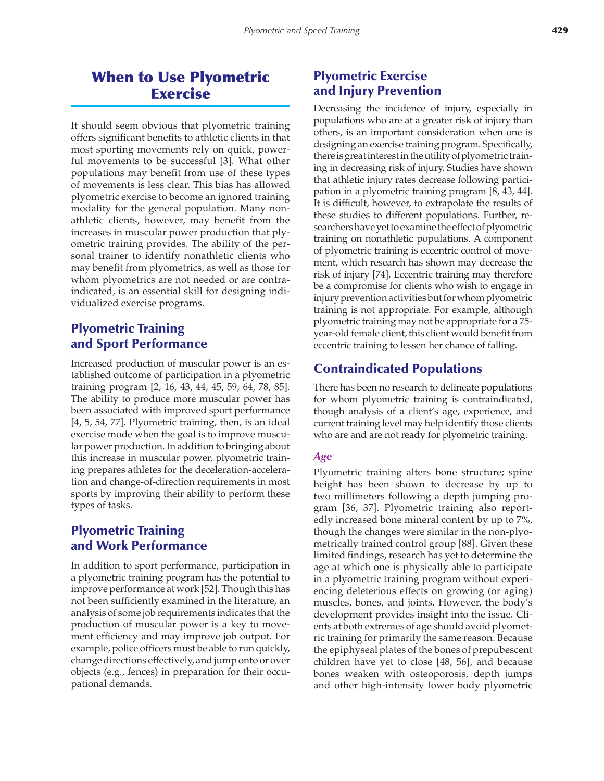# **When to Use Plyometric Exercise**

It should seem obvious that plyometric training offers significant benefits to athletic clients in that most sporting movements rely on quick, powerful movements to be successful [3]. What other populations may benefit from use of these types of movements is less clear. This bias has allowed plyometric exercise to become an ignored training modality for the general population. Many nonathletic clients, however, may benefit from the increases in muscular power production that plyometric training provides. The ability of the personal trainer to identify nonathletic clients who may benefit from plyometrics, as well as those for whom plyometrics are not needed or are contraindicated, is an essential skill for designing individualized exercise programs.

# **Plyometric Training and Sport Performance**

Increased production of muscular power is an established outcome of participation in a plyometric training program [2, 16, 43, 44, 45, 59, 64, 78, 85]. The ability to produce more muscular power has been associated with improved sport performance [4, 5, 54, 77]. Plyometric training, then, is an ideal exercise mode when the goal is to improve muscular power production. In addition to bringing about this increase in muscular power, plyometric training prepares athletes for the deceleration-acceleration and change-of-direction requirements in most sports by improving their ability to perform these types of tasks.

# **Plyometric Training and Work Performance**

In addition to sport performance, participation in a plyometric training program has the potential to improve performance at work [52]. Though this has not been sufficiently examined in the literature, an analysis of some job requirements indicates that the production of muscular power is a key to movement efficiency and may improve job output. For example, police officers must be able to run quickly, change directions effectively, and jump onto or over objects (e.g., fences) in preparation for their occupational demands.

# **Plyometric Exercise and Injury Prevention**

Decreasing the incidence of injury, especially in populations who are at a greater risk of injury than others, is an important consideration when one is designing an exercise training program. Specifically, there is great interest in the utility of plyometric training in decreasing risk of injury. Studies have shown that athletic injury rates decrease following participation in a plyometric training program [8, 43, 44]. It is difficult, however, to extrapolate the results of these studies to different populations. Further, researchers have yet to examine the effect of plyometric training on nonathletic populations. A component of plyometric training is eccentric control of movement, which research has shown may decrease the risk of injury [74]. Eccentric training may therefore be a compromise for clients who wish to engage in injury prevention activities but for whom plyometric training is not appropriate. For example, although plyometric training may not be appropriate for a 75 year-old female client, this client would benefit from eccentric training to lessen her chance of falling.

# **Contraindicated Populations**

There has been no research to delineate populations for whom plyometric training is contraindicated, though analysis of a client's age, experience, and current training level may help identify those clients who are and are not ready for plyometric training.

### *Age*

Plyometric training alters bone structure; spine height has been shown to decrease by up to two millimeters following a depth jumping program [36, 37]. Plyometric training also reportedly increased bone mineral content by up to 7%, though the changes were similar in the non-plyometrically trained control group [88]. Given these limited findings, research has yet to determine the age at which one is physically able to participate in a plyometric training program without experiencing deleterious effects on growing (or aging) muscles, bones, and joints. However, the body's development provides insight into the issue. Clients at both extremes of age should avoid plyometric training for primarily the same reason. Because the epiphyseal plates of the bones of prepubescent children have yet to close [48, 56], and because bones weaken with osteoporosis, depth jumps and other high-intensity lower body plyometric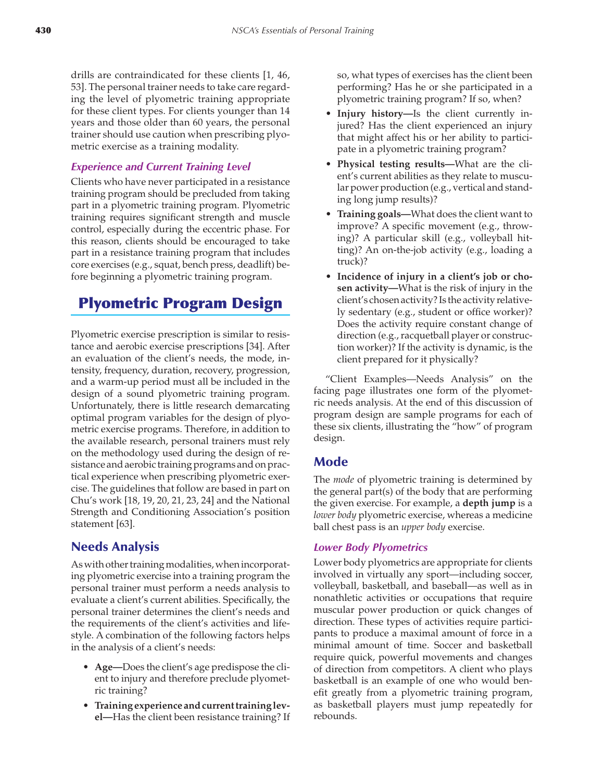drills are contraindicated for these clients [1, 46, 53]. The personal trainer needs to take care regarding the level of plyometric training appropriate for these client types. For clients younger than 14 years and those older than 60 years, the personal trainer should use caution when prescribing plyometric exercise as a training modality.

### *Experience and Current Training Level*

Clients who have never participated in a resistance training program should be precluded from taking part in a plyometric training program. Plyometric training requires significant strength and muscle control, especially during the eccentric phase. For this reason, clients should be encouraged to take part in a resistance training program that includes core exercises (e.g., squat, bench press, deadlift) before beginning a plyometric training program.

# **Plyometric Program Design**

Plyometric exercise prescription is similar to resistance and aerobic exercise prescriptions [34]. After an evaluation of the client's needs, the mode, intensity, frequency, duration, recovery, progression, and a warm-up period must all be included in the design of a sound plyometric training program. Unfortunately, there is little research demarcating optimal program variables for the design of plyometric exercise programs. Therefore, in addition to the available research, personal trainers must rely on the methodology used during the design of resistance and aerobic training programs and on practical experience when prescribing plyometric exercise. The guidelines that follow are based in part on Chu's work [18, 19, 20, 21, 23, 24] and the National Strength and Conditioning Association's position statement [63].

# **Needs Analysis**

As with other training modalities, when incorporating plyometric exercise into a training program the personal trainer must perform a needs analysis to evaluate a client's current abilities. Specifically, the personal trainer determines the client's needs and the requirements of the client's activities and lifestyle. A combination of the following factors helps in the analysis of a client's needs:

- **Age—**Does the client's age predispose the client to injury and therefore preclude plyometric training?
- **Training experience and current training level—**Has the client been resistance training? If

so, what types of exercises has the client been performing? Has he or she participated in a plyometric training program? If so, when?

- **Injury history—**Is the client currently injured? Has the client experienced an injury that might affect his or her ability to participate in a plyometric training program?
- **Physical testing results—**What are the client's current abilities as they relate to muscular power production (e.g., vertical and standing long jump results)?
- **Training goals—**What does the client want to improve? A specific movement (e.g., throwing)? A particular skill (e.g., volleyball hitting)? An on-the-job activity (e.g., loading a truck)?
- **Incidence of injury in a client's job or chosen activity—**What is the risk of injury in the client's chosen activity? Is the activity relatively sedentary (e.g., student or office worker)? Does the activity require constant change of direction (e.g., racquetball player or construction worker)? If the activity is dynamic, is the client prepared for it physically?

"Client Examples—Needs Analysis" on the facing page illustrates one form of the plyometric needs analysis. At the end of this discussion of program design are sample programs for each of these six clients, illustrating the "how" of program design.

# **Mode**

The *mode* of plyometric training is determined by the general part(s) of the body that are performing the given exercise. For example, a **depth jump** is a *lower body* plyometric exercise, whereas a medicine ball chest pass is an *upper body* exercise.

### *Lower Body Plyometrics*

Lower body plyometrics are appropriate for clients involved in virtually any sport—including soccer, volleyball, basketball, and baseball—as well as in nonathletic activities or occupations that require muscular power production or quick changes of direction. These types of activities require participants to produce a maximal amount of force in a minimal amount of time. Soccer and basketball require quick, powerful movements and changes of direction from competitors. A client who plays basketball is an example of one who would benefit greatly from a plyometric training program, as basketball players must jump repeatedly for rebounds.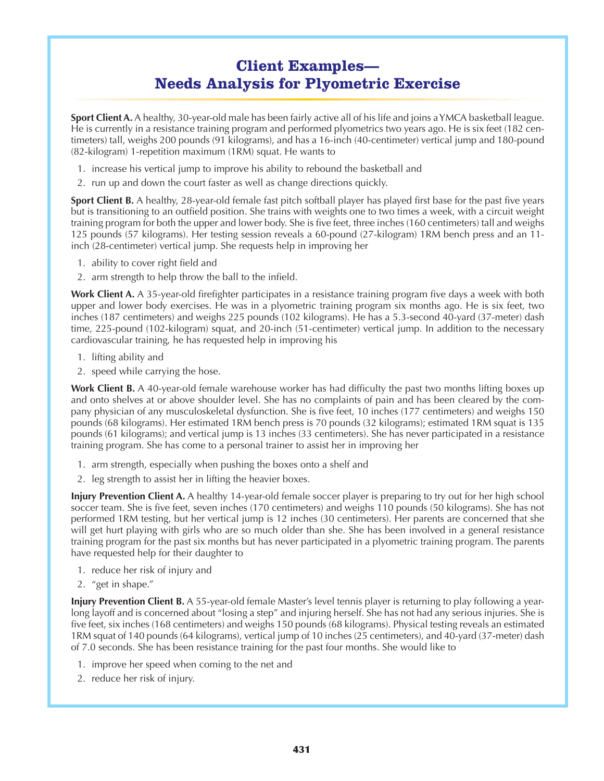# **Client Examples— Needs Analysis for Plyometric Exercise**

**Sport Client A.** A healthy, 30-year-old male has been fairly active all of his life and joins a YMCA basketball league. He is currently in a resistance training program and performed plyometrics two years ago. He is six feet (182 centimeters) tall, weighs 200 pounds (91 kilograms), and has a 16-inch (40-centimeter) vertical jump and 180-pound (82-kilogram) 1-repetition maximum (1RM) squat. He wants to

- 1. increase his vertical jump to improve his ability to rebound the basketball and
- 2. run up and down the court faster as well as change directions quickly.

**Sport Client B.** A healthy, 28-year-old female fast pitch softball player has played first base for the past five years but is transitioning to an outfield position. She trains with weights one to two times a week, with a circuit weight training program for both the upper and lower body. She is five feet, three inches (160 centimeters) tall and weighs 125 pounds (57 kilograms). Her testing session reveals a 60-pound (27-kilogram) 1RM bench press and an 11 inch (28-centimeter) vertical jump. She requests help in improving her

- 1. ability to cover right field and
- 2. arm strength to help throw the ball to the infield.

**Work Client A.** A 35-year-old firefighter participates in a resistance training program five days a week with both upper and lower body exercises. He was in a plyometric training program six months ago. He is six feet, two inches (187 centimeters) and weighs 225 pounds (102 kilograms). He has a 5.3-second 40-yard (37-meter) dash time, 225-pound (102-kilogram) squat, and 20-inch (51-centimeter) vertical jump. In addition to the necessary cardiovascular training, he has requested help in improving his

- 1. lifting ability and
- 2. speed while carrying the hose.

**Work Client B.** A 40-year-old female warehouse worker has had difficulty the past two months lifting boxes up and onto shelves at or above shoulder level. She has no complaints of pain and has been cleared by the company physician of any musculoskeletal dysfunction. She is five feet, 10 inches (177 centimeters) and weighs 150 pounds (68 kilograms). Her estimated 1RM bench press is 70 pounds (32 kilograms); estimated 1RM squat is 135 pounds (61 kilograms); and vertical jump is 13 inches (33 centimeters). She has never participated in a resistance training program. She has come to a personal trainer to assist her in improving her

- 1. arm strength, especially when pushing the boxes onto a shelf and
- 2. leg strength to assist her in lifting the heavier boxes.

**Injury Prevention Client A.** A healthy 14-year-old female soccer player is preparing to try out for her high school soccer team. She is five feet, seven inches (170 centimeters) and weighs 110 pounds (50 kilograms). She has not performed 1RM testing, but her vertical jump is 12 inches (30 centimeters). Her parents are concerned that she will get hurt playing with girls who are so much older than she. She has been involved in a general resistance training program for the past six months but has never participated in a plyometric training program. The parents have requested help for their daughter to

- 1. reduce her risk of injury and
- 2. "get in shape."

**Injury Prevention Client B.** A 55-year-old female Master's level tennis player is returning to play following a yearlong layoff and is concerned about "losing a step" and injuring herself. She has not had any serious injuries. She is five feet, six inches (168 centimeters) and weighs 150 pounds (68 kilograms). Physical testing reveals an estimated 1RM squat of 140 pounds (64 kilograms), vertical jump of 10 inches (25 centimeters), and 40-yard (37-meter) dash of 7.0 seconds. She has been resistance training for the past four months. She would like to

- 1. improve her speed when coming to the net and
- 2. reduce her risk of injury.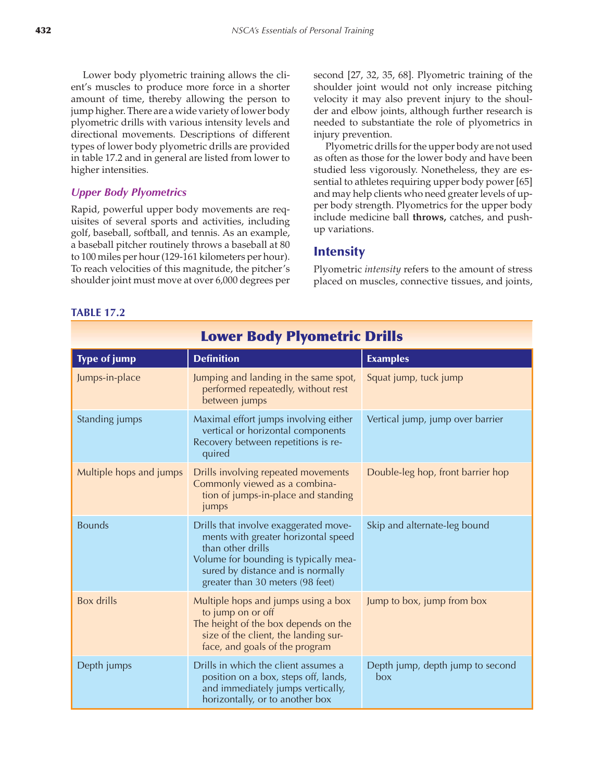Lower body plyometric training allows the client's muscles to produce more force in a shorter amount of time, thereby allowing the person to jump higher. There are a wide variety of lower body plyometric drills with various intensity levels and directional movements. Descriptions of different types of lower body plyometric drills are provided in table 17.2 and in general are listed from lower to higher intensities.

### *Upper Body Plyometrics*

Rapid, powerful upper body movements are requisites of several sports and activities, including golf, baseball, softball, and tennis. As an example, a baseball pitcher routinely throws a baseball at 80 to 100 miles per hour (129-161 kilometers per hour). To reach velocities of this magnitude, the pitcher's shoulder joint must move at over 6,000 degrees per

second [27, 32, 35, 68]. Plyometric training of the shoulder joint would not only increase pitching velocity it may also prevent injury to the shoulder and elbow joints, although further research is needed to substantiate the role of plyometrics in injury prevention.

Plyometric drills for the upper body are not used as often as those for the lower body and have been studied less vigorously. Nonetheless, they are essential to athletes requiring upper body power [65] and may help clients who need greater levels of upper body strength. Plyometrics for the upper body include medicine ball **throws,** catches, and pushup variations.

# **Intensity**

Plyometric *intensity* refers to the amount of stress placed on muscles, connective tissues, and joints,

### **TABLE 17.2**

| Lower Douy I Tyometric Drims |                                                                                                                                                                                                                     |                                         |  |  |  |
|------------------------------|---------------------------------------------------------------------------------------------------------------------------------------------------------------------------------------------------------------------|-----------------------------------------|--|--|--|
| <b>Type of jump</b>          | <b>Definition</b>                                                                                                                                                                                                   | <b>Examples</b>                         |  |  |  |
| Jumps-in-place               | Jumping and landing in the same spot,<br>performed repeatedly, without rest<br>between jumps                                                                                                                        | Squat jump, tuck jump                   |  |  |  |
| Standing jumps               | Maximal effort jumps involving either<br>vertical or horizontal components<br>Recovery between repetitions is re-<br>quired                                                                                         | Vertical jump, jump over barrier        |  |  |  |
| Multiple hops and jumps      | Drills involving repeated movements<br>Commonly viewed as a combina-<br>tion of jumps-in-place and standing<br>jumps                                                                                                | Double-leg hop, front barrier hop       |  |  |  |
| <b>Bounds</b>                | Drills that involve exaggerated move-<br>ments with greater horizontal speed<br>than other drills<br>Volume for bounding is typically mea-<br>sured by distance and is normally<br>greater than 30 meters (98 feet) | Skip and alternate-leg bound            |  |  |  |
| <b>Box drills</b>            | Multiple hops and jumps using a box<br>to jump on or off<br>The height of the box depends on the<br>size of the client, the landing sur-<br>face, and goals of the program                                          | Jump to box, jump from box              |  |  |  |
| Depth jumps                  | Drills in which the client assumes a<br>position on a box, steps off, lands,<br>and immediately jumps vertically,<br>horizontally, or to another box                                                                | Depth jump, depth jump to second<br>box |  |  |  |

**Lower Body Plyometric Drills**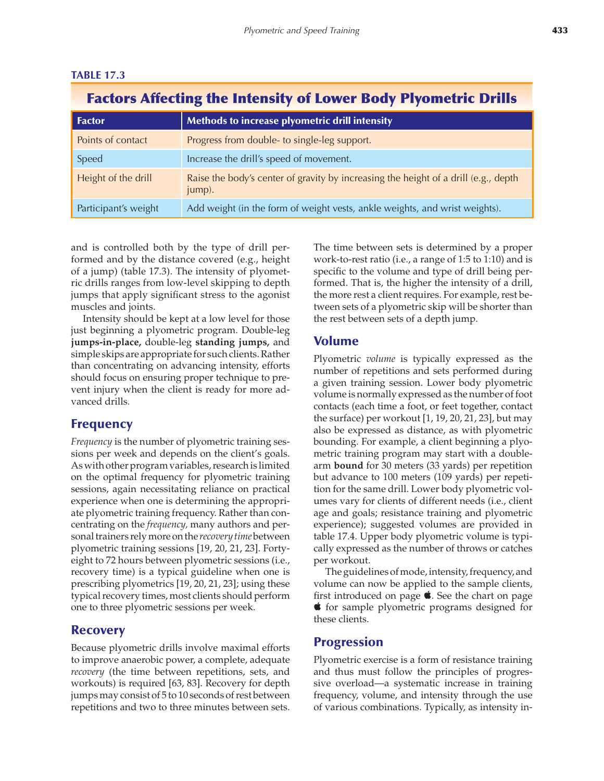### **TABLE 17.3**

| <b>Factors Affecting the Intensity of Lower Body Plyometric Drills</b> |                                                                                               |  |  |
|------------------------------------------------------------------------|-----------------------------------------------------------------------------------------------|--|--|
| <b>Factor</b>                                                          | <b>Methods to increase plyometric drill intensity</b>                                         |  |  |
| Points of contact                                                      | Progress from double- to single-leg support.                                                  |  |  |
| Speed                                                                  | Increase the drill's speed of movement.                                                       |  |  |
| Height of the drill                                                    | Raise the body's center of gravity by increasing the height of a drill (e.g., depth<br>jump). |  |  |
| Participant's weight                                                   | Add weight (in the form of weight vests, ankle weights, and wrist weights).                   |  |  |

and is controlled both by the type of drill performed and by the distance covered (e.g., height of a jump) (table 17.3). The intensity of plyometric drills ranges from low-level skipping to depth jumps that apply significant stress to the agonist muscles and joints.

Intensity should be kept at a low level for those just beginning a plyometric program. Double-leg **jumps-in-place,** double-leg **standing jumps,** and simple skips are appropriate for such clients. Rather than concentrating on advancing intensity, efforts should focus on ensuring proper technique to prevent injury when the client is ready for more advanced drills.

### **Frequency**

*Frequency* is the number of plyometric training sessions per week and depends on the client's goals. As with other program variables, research is limited on the optimal frequency for plyometric training sessions, again necessitating reliance on practical experience when one is determining the appropriate plyometric training frequency. Rather than concentrating on the *frequency,* many authors and personal trainers rely more on the *recovery time*between plyometric training sessions [19, 20, 21, 23]. Fortyeight to 72 hours between plyometric sessions (i.e., recovery time) is a typical guideline when one is prescribing plyometrics [19, 20, 21, 23]; using these typical recovery times, most clients should perform one to three plyometric sessions per week.

### **Recovery**

Because plyometric drills involve maximal efforts to improve anaerobic power, a complete, adequate *recovery* (the time between repetitions, sets, and workouts) is required [63, 83]. Recovery for depth jumps may consist of 5 to 10 seconds of rest between repetitions and two to three minutes between sets.

The time between sets is determined by a proper work-to-rest ratio (i.e., a range of 1:5 to 1:10) and is specific to the volume and type of drill being performed. That is, the higher the intensity of a drill, the more rest a client requires. For example, rest between sets of a plyometric skip will be shorter than the rest between sets of a depth jump.

### **Volume**

Plyometric *volume* is typically expressed as the number of repetitions and sets performed during a given training session. Lower body plyometric volume is normally expressed as the number of foot contacts (each time a foot, or feet together, contact the surface) per workout [1, 19, 20, 21, 23], but may also be expressed as distance, as with plyometric bounding. For example, a client beginning a plyometric training program may start with a doublearm **bound** for 30 meters (33 yards) per repetition but advance to 100 meters (109 yards) per repetition for the same drill. Lower body plyometric volumes vary for clients of different needs (i.e., client age and goals; resistance training and plyometric experience); suggested volumes are provided in table 17.4. Upper body plyometric volume is typically expressed as the number of throws or catches per workout.

The guidelines of mode, intensity, frequency, and volume can now be applied to the sample clients, first introduced on page  $\bullet$ . See the chart on page  $\bullet$  for sample plyometric programs designed for these clients.

# **Progression**

Plyometric exercise is a form of resistance training and thus must follow the principles of progressive overload—a systematic increase in training frequency, volume, and intensity through the use of various combinations. Typically, as intensity in-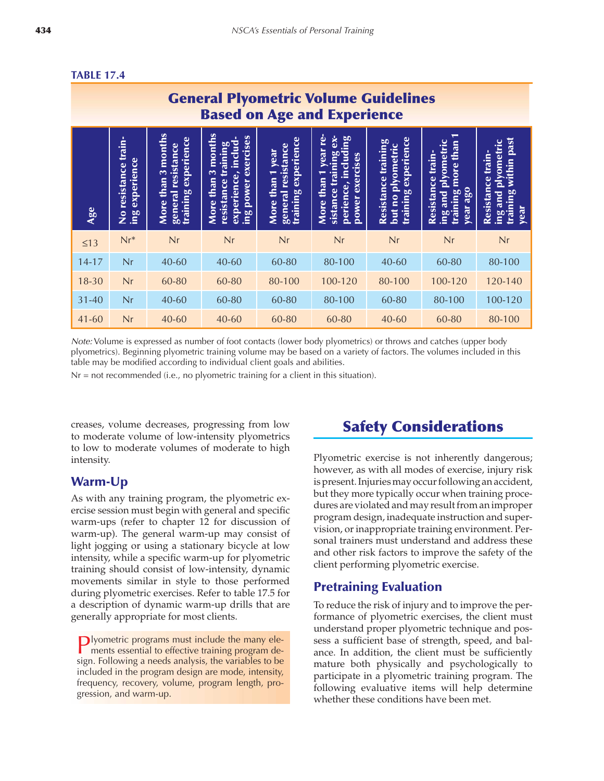### **TABLE 17.4**

| <b>General Plyometric Volume Guidelines</b> |  |
|---------------------------------------------|--|
| <b>Based on Age and Experience</b>          |  |

|           |                                                        |                                                                                     |                                                                                                                   | ັ                                                                      |                                                                                                                                                  |                                                                                              |                                                                                                                                        |                                                                                        |
|-----------|--------------------------------------------------------|-------------------------------------------------------------------------------------|-------------------------------------------------------------------------------------------------------------------|------------------------------------------------------------------------|--------------------------------------------------------------------------------------------------------------------------------------------------|----------------------------------------------------------------------------------------------|----------------------------------------------------------------------------------------------------------------------------------------|----------------------------------------------------------------------------------------|
| Age       | train-<br>experience<br>resistance<br>2.5 <sup>o</sup> | months<br>experience<br>resistance<br>$\sim$<br>than<br>general<br>training<br>More | months<br>exercises<br>includ-<br>training<br>$\sim$<br>experience,<br>than<br>resistance<br>power<br>More<br>gui | experience<br>resistance<br>ear<br>than<br>general<br>training<br>More | 8 <sup>-</sup><br><u>suil</u><br>في<br>vear<br>training<br>e, includi<br>es<br>exercis<br>than<br>perience,<br>e<br>C<br>power<br>sistan<br>More | experience<br>training<br>plyometric<br>Resistance<br>training<br>$\mathbf{S}$<br><b>Jud</b> | $\overline{\phantom{0}}$<br>plyometric<br>than<br>train-<br>more<br>Resistance<br>ago<br>training<br><b>Dure</b><br>year<br><b>Rui</b> | past<br>yometric<br>train-<br>within<br>Resistance<br>ਨ<br>ing and<br>training<br>year |
| $\leq 13$ | $Nr^*$                                                 | Nr                                                                                  | Nr                                                                                                                | Nr                                                                     | Nr                                                                                                                                               | Nr                                                                                           | Nr                                                                                                                                     | Nr                                                                                     |
| $14 - 17$ | Nr                                                     | $40 - 60$                                                                           | 40-60                                                                                                             | 60-80                                                                  | 80-100                                                                                                                                           | $40 - 60$                                                                                    | 60-80                                                                                                                                  | 80-100                                                                                 |
| $18 - 30$ | Nr                                                     | 60-80                                                                               | 60-80                                                                                                             | 80-100                                                                 | 100-120                                                                                                                                          | 80-100                                                                                       | 100-120                                                                                                                                | 120-140                                                                                |
| $31 - 40$ | Nr                                                     | 40-60                                                                               | 60-80                                                                                                             | 60-80                                                                  | 80-100                                                                                                                                           | 60-80                                                                                        | 80-100                                                                                                                                 | 100-120                                                                                |
| $41 - 60$ | Nr                                                     | $40 - 60$                                                                           | $40 - 60$                                                                                                         | 60-80                                                                  | 60-80                                                                                                                                            | $40 - 60$                                                                                    | 60-80                                                                                                                                  | 80-100                                                                                 |

*Note:* Volume is expressed as number of foot contacts (lower body plyometrics) or throws and catches (upper body plyometrics). Beginning plyometric training volume may be based on a variety of factors. The volumes included in this table may be modified according to individual client goals and abilities.

Nr = not recommended (i.e., no plyometric training for a client in this situation).

creases, volume decreases, progressing from low to moderate volume of low-intensity plyometrics to low to moderate volumes of moderate to high intensity.

### **Warm-Up**

As with any training program, the plyometric exercise session must begin with general and specific warm-ups (refer to chapter 12 for discussion of warm-up). The general warm-up may consist of light jogging or using a stationary bicycle at low intensity, while a specific warm-up for plyometric training should consist of low-intensity, dynamic movements similar in style to those performed during plyometric exercises. Refer to table 17.5 for a description of dynamic warm-up drills that are generally appropriate for most clients.

**P**lyometric programs must include the many elements essential to effective training program design. Following a needs analysis, the variables to be included in the program design are mode, intensity, frequency, recovery, volume, program length, progression, and warm-up.

# **Safety Considerations**

Plyometric exercise is not inherently dangerous; however, as with all modes of exercise, injury risk is present. Injuries may occur following an accident, but they more typically occur when training procedures are violated and may result from an improper program design, inadequate instruction and supervision, or inappropriate training environment. Personal trainers must understand and address these and other risk factors to improve the safety of the client performing plyometric exercise.

# **Pretraining Evaluation**

To reduce the risk of injury and to improve the performance of plyometric exercises, the client must understand proper plyometric technique and possess a sufficient base of strength, speed, and balance. In addition, the client must be sufficiently mature both physically and psychologically to participate in a plyometric training program. The following evaluative items will help determine whether these conditions have been met.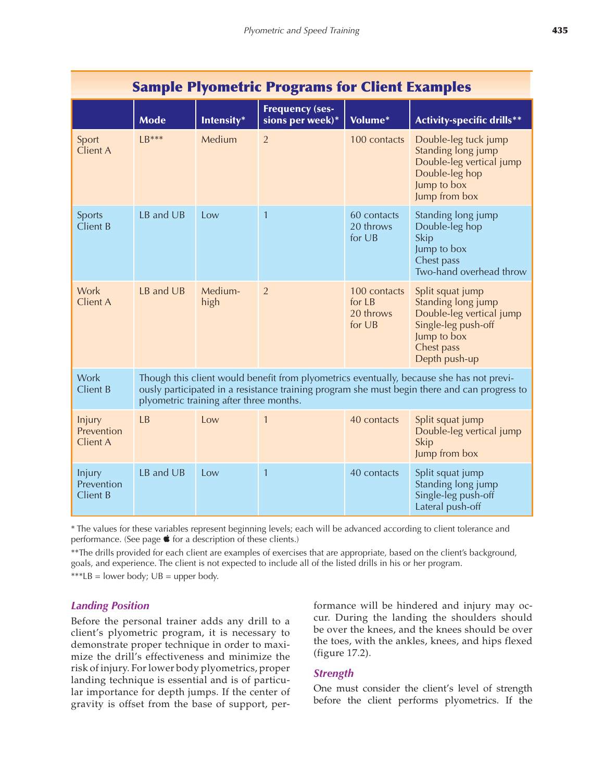| <b>Sample Plyometric Programs for Client Examples</b>                                                                                                                                                                                                          |             |                 |                                            |                                               |                                                                                                                                         |  |
|----------------------------------------------------------------------------------------------------------------------------------------------------------------------------------------------------------------------------------------------------------------|-------------|-----------------|--------------------------------------------|-----------------------------------------------|-----------------------------------------------------------------------------------------------------------------------------------------|--|
|                                                                                                                                                                                                                                                                | <b>Mode</b> | Intensity*      | <b>Frequency (ses-</b><br>sions per week)* | Volume*                                       | <b>Activity-specific drills**</b>                                                                                                       |  |
| Sport<br><b>Client A</b>                                                                                                                                                                                                                                       | $LB***$     | Medium          | $\overline{2}$                             | 100 contacts                                  | Double-leg tuck jump<br>Standing long jump<br>Double-leg vertical jump<br>Double-leg hop<br>Jump to box<br>Jump from box                |  |
| <b>Sports</b><br>Client B                                                                                                                                                                                                                                      | LB and UB   | Low             | $\mathbf{1}$                               | 60 contacts<br>20 throws<br>for $UB$          | Standing long jump<br>Double-leg hop<br>Skip<br>Jump to box<br>Chest pass<br>Two-hand overhead throw                                    |  |
| Work<br>Client A                                                                                                                                                                                                                                               | LB and UB   | Medium-<br>high | 2                                          | 100 contacts<br>for LB<br>20 throws<br>for UB | Split squat jump<br>Standing long jump<br>Double-leg vertical jump<br>Single-leg push-off<br>Jump to box<br>Chest pass<br>Depth push-up |  |
| Work<br>Though this client would benefit from plyometrics eventually, because she has not previ-<br><b>Client B</b><br>ously participated in a resistance training program she must begin there and can progress to<br>plyometric training after three months. |             |                 |                                            |                                               |                                                                                                                                         |  |
| Injury<br>Prevention<br>Client A                                                                                                                                                                                                                               | LB          | Low             | $\mathbf{1}$                               | 40 contacts                                   | Split squat jump<br>Double-leg vertical jump<br>Skip<br>Jump from box                                                                   |  |
| Injury<br>Prevention<br><b>Client B</b>                                                                                                                                                                                                                        | LB and UB   | Low             | $\overline{1}$                             | 40 contacts                                   | Split squat jump<br>Standing long jump<br>Single-leg push-off<br>Lateral push-off                                                       |  |

\* The values for these variables represent beginning levels; each will be advanced according to client tolerance and performance. (See page  $\bullet$  for a description of these clients.)

\*\*The drills provided for each client are examples of exercises that are appropriate, based on the client's background, goals, and experience. The client is not expected to include all of the listed drills in his or her program. \*\*\*LB = lower body;  $UB = upper$  body.

#### *Landing Position*

Before the personal trainer adds any drill to a client's plyometric program, it is necessary to demonstrate proper technique in order to maximize the drill's effectiveness and minimize the risk of injury. For lower body plyometrics, proper landing technique is essential and is of particular importance for depth jumps. If the center of gravity is offset from the base of support, per-

formance will be hindered and injury may occur. During the landing the shoulders should be over the knees, and the knees should be over the toes, with the ankles, knees, and hips flexed (figure 17.2).

#### *Strength*

One must consider the client's level of strength before the client performs plyometrics. If the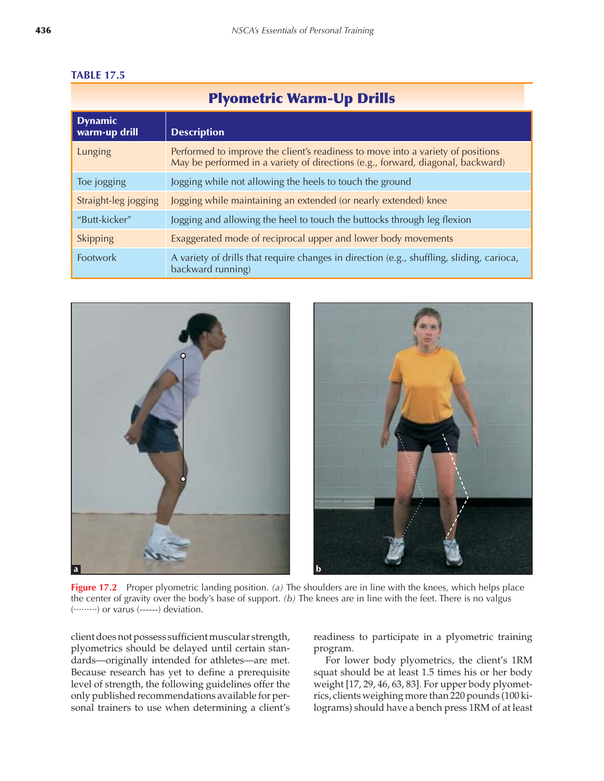### **TABLE 17.5**

| <b>Plyometric Warm-Up Drills</b> |                                                                                                                                                                    |  |  |
|----------------------------------|--------------------------------------------------------------------------------------------------------------------------------------------------------------------|--|--|
| <b>Dynamic</b><br>warm-up drill  | <b>Description</b>                                                                                                                                                 |  |  |
| Lunging                          | Performed to improve the client's readiness to move into a variety of positions<br>May be performed in a variety of directions (e.g., forward, diagonal, backward) |  |  |
| Toe jogging                      | Jogging while not allowing the heels to touch the ground                                                                                                           |  |  |
| Straight-leg jogging             | Jogging while maintaining an extended (or nearly extended) knee                                                                                                    |  |  |
| "Butt-kicker"                    | Jogging and allowing the heel to touch the buttocks through leg flexion                                                                                            |  |  |
| Skipping                         | Exaggerated mode of reciprocal upper and lower body movements                                                                                                      |  |  |
| Footwork                         | A variety of drills that require changes in direction (e.g., shuffling, sliding, carioca,<br>backward running)                                                     |  |  |





**Figure 17.2** Proper plyometric landing position. *(a)* The shoulders are in line with the knees, which helps place the center of gravity over the body's base of support. *(b)* The knees are in line with the feet. There is no valgus (·········) or varus (------) deviation.

client does not possess sufficient muscular strength, plyometrics should be delayed until certain standards—originally intended for athletes—are met. Because research has yet to define a prerequisite level of strength, the following guidelines offer the only published recommendations available for personal trainers to use when determining a client's readiness to participate in a plyometric training program.

For lower body plyometrics, the client's 1RM squat should be at least 1.5 times his or her body weight [17, 29, 46, 63, 83]. For upper body plyometrics, clients weighing more than 220 pounds (100 kilograms) should have a bench press 1RM of at least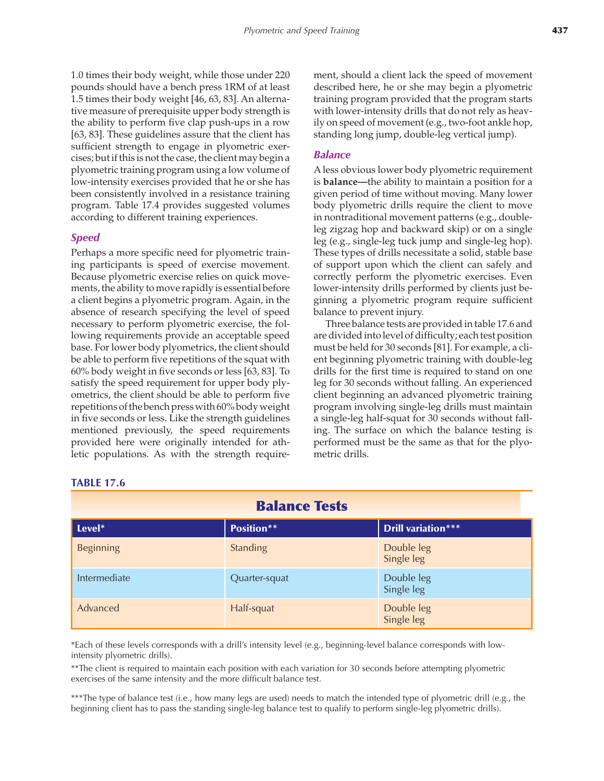1.0 times their body weight, while those under 220 pounds should have a bench press 1RM of at least 1.5 times their body weight [46, 63, 83]. An alternative measure of prerequisite upper body strength is the ability to perform five clap push-ups in a row [63, 83]. These guidelines assure that the client has sufficient strength to engage in plyometric exercises; but if this is not the case, the client may begin a plyometric training program using a low volume of low-intensity exercises provided that he or she has been consistently involved in a resistance training program. Table 17.4 provides suggested volumes according to different training experiences.

### *Speed*

Perhaps a more specific need for plyometric training participants is speed of exercise movement. Because plyometric exercise relies on quick movements, the ability to move rapidly is essential before a client begins a plyometric program. Again, in the absence of research specifying the level of speed necessary to perform plyometric exercise, the following requirements provide an acceptable speed base. For lower body plyometrics, the client should be able to perform five repetitions of the squat with 60% body weight in five seconds or less [63, 83]. To satisfy the speed requirement for upper body plyometrics, the client should be able to perform five repetitions of the bench press with 60% body weight in five seconds or less. Like the strength guidelines mentioned previously, the speed requirements provided here were originally intended for athletic populations. As with the strength requirement, should a client lack the speed of movement described here, he or she may begin a plyometric training program provided that the program starts with lower-intensity drills that do not rely as heavily on speed of movement (e.g., two-foot ankle hop, standing long jump, double-leg vertical jump).

### *Balance*

A less obvious lower body plyometric requirement is **balance—**the ability to maintain a position for a given period of time without moving. Many lower body plyometric drills require the client to move in nontraditional movement patterns (e.g., doubleleg zigzag hop and backward skip) or on a single leg (e.g., single-leg tuck jump and single-leg hop). These types of drills necessitate a solid, stable base of support upon which the client can safely and correctly perform the plyometric exercises. Even lower-intensity drills performed by clients just beginning a plyometric program require sufficient balance to prevent injury.

Three balance tests are provided in table 17.6 and are divided into level of difficulty; each test position must be held for 30 seconds [81]. For example, a client beginning plyometric training with double-leg drills for the first time is required to stand on one leg for 30 seconds without falling. An experienced client beginning an advanced plyometric training program involving single-leg drills must maintain a single-leg half-squat for 30 seconds without falling. The surface on which the balance testing is performed must be the same as that for the plyometric drills.

| <b>Balance Tests</b> |                   |                           |  |  |
|----------------------|-------------------|---------------------------|--|--|
| Level <sup>*</sup>   | <b>Position**</b> | <b>Drill variation***</b> |  |  |
| <b>Beginning</b>     | <b>Standing</b>   | Double leg<br>Single leg  |  |  |
| Intermediate         | Quarter-squat     | Double leg<br>Single leg  |  |  |
| Advanced             | Half-squat        | Double leg<br>Single leg  |  |  |

### **TABLE 17.6**

\*Each of these levels corresponds with a drill's intensity level (e.g., beginning-level balance corresponds with lowintensity plyometric drills).

\*\*The client is required to maintain each position with each variation for 30 seconds before attempting plyometric exercises of the same intensity and the more difficult balance test.

\*\*\*The type of balance test (i.e., how many legs are used) needs to match the intended type of plyometric drill (e.g., the beginning client has to pass the standing single-leg balance test to qualify to perform single-leg plyometric drills).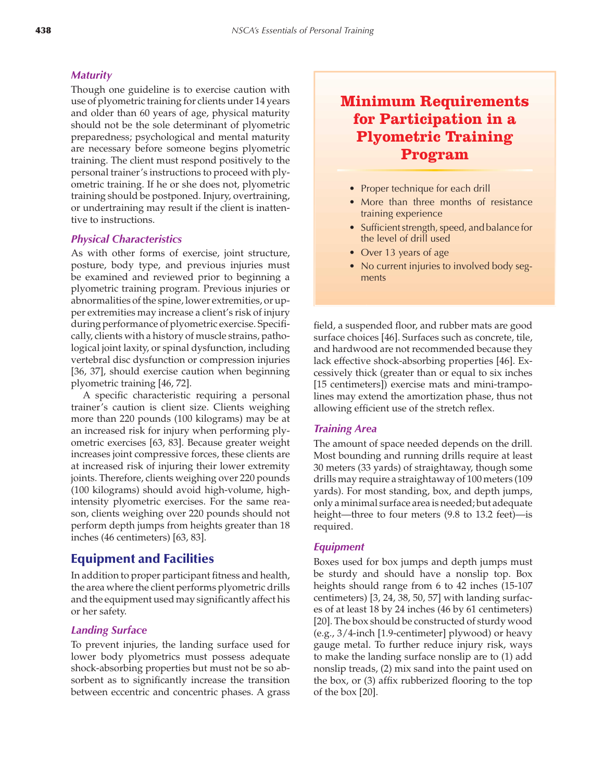### *Maturity*

Though one guideline is to exercise caution with use of plyometric training for clients under 14 years and older than 60 years of age, physical maturity should not be the sole determinant of plyometric preparedness; psychological and mental maturity are necessary before someone begins plyometric training. The client must respond positively to the personal trainer's instructions to proceed with plyometric training. If he or she does not, plyometric training should be postponed. Injury, overtraining, or undertraining may result if the client is inattentive to instructions.

#### *Physical Characteristics*

As with other forms of exercise, joint structure, posture, body type, and previous injuries must be examined and reviewed prior to beginning a plyometric training program. Previous injuries or abnormalities of the spine, lower extremities, or upper extremities may increase a client's risk of injury during performance of plyometric exercise. Specifically, clients with a history of muscle strains, pathological joint laxity, or spinal dysfunction, including vertebral disc dysfunction or compression injuries [36, 37], should exercise caution when beginning plyometric training [46, 72].

A specific characteristic requiring a personal trainer's caution is client size. Clients weighing more than 220 pounds (100 kilograms) may be at an increased risk for injury when performing plyometric exercises [63, 83]. Because greater weight increases joint compressive forces, these clients are at increased risk of injuring their lower extremity joints. Therefore, clients weighing over 220 pounds (100 kilograms) should avoid high-volume, highintensity plyometric exercises. For the same reason, clients weighing over 220 pounds should not perform depth jumps from heights greater than 18 inches (46 centimeters) [63, 83].

### **Equipment and Facilities**

In addition to proper participant fitness and health, the area where the client performs plyometric drills and the equipment used may significantly affect his or her safety.

### *Landing Surface*

To prevent injuries, the landing surface used for lower body plyometrics must possess adequate shock-absorbing properties but must not be so absorbent as to significantly increase the transition between eccentric and concentric phases. A grass

# **Minimum Requirements for Participation in a Plyometric Training Program**

- Proper technique for each drill
- More than three months of resistance training experience
- Sufficient strength, speed, and balance for the level of drill used
- Over 13 years of age
- No current injuries to involved body segments

field, a suspended floor, and rubber mats are good surface choices [46]. Surfaces such as concrete, tile, and hardwood are not recommended because they lack effective shock-absorbing properties [46]. Excessively thick (greater than or equal to six inches [15 centimeters]) exercise mats and mini-trampolines may extend the amortization phase, thus not allowing efficient use of the stretch reflex.

#### *Training Area*

The amount of space needed depends on the drill. Most bounding and running drills require at least 30 meters (33 yards) of straightaway, though some drills may require a straightaway of 100 meters (109 yards). For most standing, box, and depth jumps, only a minimal surface area is needed; but adequate height—three to four meters (9.8 to 13.2 feet)—is required.

### *Equipment*

Boxes used for box jumps and depth jumps must be sturdy and should have a nonslip top. Box heights should range from 6 to 42 inches (15-107 centimeters)  $[3, 24, 38, 50, 57]$  with landing surfaces of at least 18 by 24 inches (46 by 61 centimeters) [20]. The box should be constructed of sturdy wood (e.g., 3/4-inch [1.9-centimeter] plywood) or heavy gauge metal. To further reduce injury risk, ways to make the landing surface nonslip are to (1) add nonslip treads, (2) mix sand into the paint used on the box, or (3) affix rubberized flooring to the top of the box [20].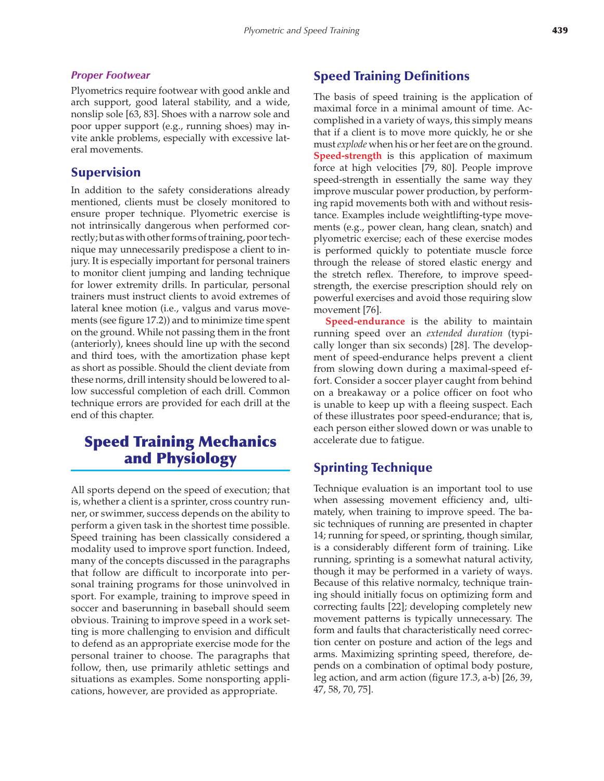#### *Proper Footwear*

Plyometrics require footwear with good ankle and arch support, good lateral stability, and a wide, nonslip sole [63, 83]. Shoes with a narrow sole and poor upper support (e.g., running shoes) may invite ankle problems, especially with excessive lateral movements.

### **Supervision**

In addition to the safety considerations already mentioned, clients must be closely monitored to ensure proper technique. Plyometric exercise is not intrinsically dangerous when performed correctly; but as with other forms of training, poor technique may unnecessarily predispose a client to injury. It is especially important for personal trainers to monitor client jumping and landing technique for lower extremity drills. In particular, personal trainers must instruct clients to avoid extremes of lateral knee motion (i.e., valgus and varus movements (see figure 17.2)) and to minimize time spent on the ground. While not passing them in the front (anteriorly), knees should line up with the second and third toes, with the amortization phase kept as short as possible. Should the client deviate from these norms, drill intensity should be lowered to allow successful completion of each drill. Common technique errors are provided for each drill at the end of this chapter.

# **Speed Training Mechanics and Physiology**

All sports depend on the speed of execution; that is, whether a client is a sprinter, cross country runner, or swimmer, success depends on the ability to perform a given task in the shortest time possible. Speed training has been classically considered a modality used to improve sport function. Indeed, many of the concepts discussed in the paragraphs that follow are difficult to incorporate into personal training programs for those uninvolved in sport. For example, training to improve speed in soccer and baserunning in baseball should seem obvious. Training to improve speed in a work setting is more challenging to envision and difficult to defend as an appropriate exercise mode for the personal trainer to choose. The paragraphs that follow, then, use primarily athletic settings and situations as examples. Some nonsporting applications, however, are provided as appropriate.

# **Speed Training Definitions**

The basis of speed training is the application of maximal force in a minimal amount of time. Accomplished in a variety of ways, this simply means that if a client is to move more quickly, he or she must *explode* when his or her feet are on the ground. **Speed-strength** is this application of maximum force at high velocities [79, 80]. People improve speed-strength in essentially the same way they improve muscular power production, by performing rapid movements both with and without resistance. Examples include weightlifting-type movements (e.g., power clean, hang clean, snatch) and plyometric exercise; each of these exercise modes is performed quickly to potentiate muscle force through the release of stored elastic energy and the stretch reflex. Therefore, to improve speedstrength, the exercise prescription should rely on powerful exercises and avoid those requiring slow movement [76].

**Speed-endurance** is the ability to maintain running speed over an *extended duration* (typically longer than six seconds) [28]. The development of speed-endurance helps prevent a client from slowing down during a maximal-speed effort. Consider a soccer player caught from behind on a breakaway or a police officer on foot who is unable to keep up with a fleeing suspect. Each of these illustrates poor speed-endurance; that is, each person either slowed down or was unable to accelerate due to fatigue.

# **Sprinting Technique**

Technique evaluation is an important tool to use when assessing movement efficiency and, ultimately, when training to improve speed. The basic techniques of running are presented in chapter 14; running for speed, or sprinting, though similar, is a considerably different form of training. Like running, sprinting is a somewhat natural activity, though it may be performed in a variety of ways. Because of this relative normalcy, technique training should initially focus on optimizing form and correcting faults [22]; developing completely new movement patterns is typically unnecessary. The form and faults that characteristically need correction center on posture and action of the legs and arms. Maximizing sprinting speed, therefore, depends on a combination of optimal body posture, leg action, and arm action (figure 17.3, a-b) [26, 39, 47, 58, 70, 75].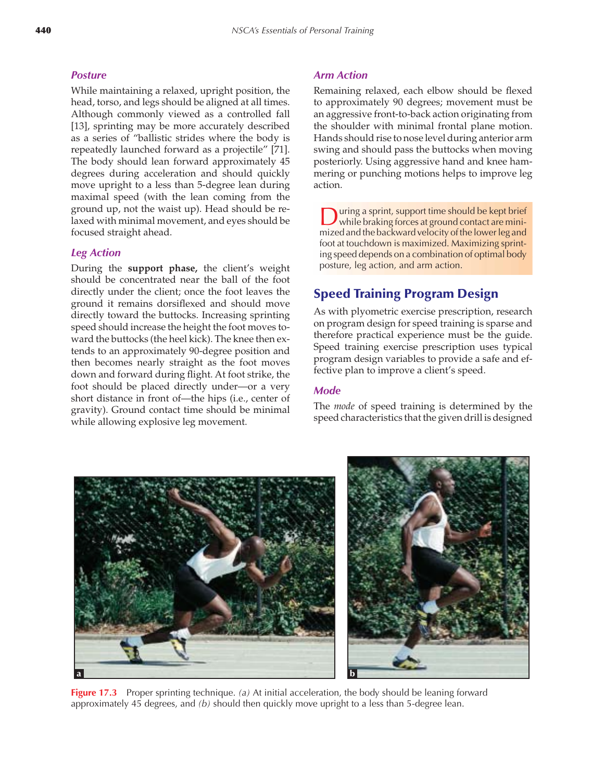#### *Posture*

While maintaining a relaxed, upright position, the head, torso, and legs should be aligned at all times. Although commonly viewed as a controlled fall [13], sprinting may be more accurately described as a series of "ballistic strides where the body is repeatedly launched forward as a projectile" [71]. The body should lean forward approximately 45 degrees during acceleration and should quickly move upright to a less than 5-degree lean during maximal speed (with the lean coming from the ground up, not the waist up). Head should be relaxed with minimal movement, and eyes should be focused straight ahead.

#### *Leg Action*

During the **support phase,** the client's weight should be concentrated near the ball of the foot directly under the client; once the foot leaves the ground it remains dorsiflexed and should move directly toward the buttocks. Increasing sprinting speed should increase the height the foot moves toward the buttocks (the heel kick). The knee then extends to an approximately 90-degree position and then becomes nearly straight as the foot moves down and forward during flight. At foot strike, the foot should be placed directly under—or a very short distance in front of—the hips (i.e., center of gravity). Ground contact time should be minimal while allowing explosive leg movement.

#### *Arm Action*

Remaining relaxed, each elbow should be flexed to approximately 90 degrees; movement must be an aggressive front-to-back action originating from the shoulder with minimal frontal plane motion. Hands should rise to nose level during anterior arm swing and should pass the buttocks when moving posteriorly. Using aggressive hand and knee hammering or punching motions helps to improve leg action.

During a sprint, support time should be kept brief<br>while braking forces at ground contact are minimized and the backward velocity of the lower leg and foot at touchdown is maximized. Maximizing sprinting speed depends on a combination of optimal body posture, leg action, and arm action.

# **Speed Training Program Design**

As with plyometric exercise prescription, research on program design for speed training is sparse and therefore practical experience must be the guide. Speed training exercise prescription uses typical program design variables to provide a safe and effective plan to improve a client's speed.

### *Mode*

The *mode* of speed training is determined by the speed characteristics that the given drill is designed



**Figure 17.3** Proper sprinting technique. *(a)* At initial acceleration, the body should be leaning forward approximately 45 degrees, and *(b)* should then quickly move upright to a less than 5-degree lean.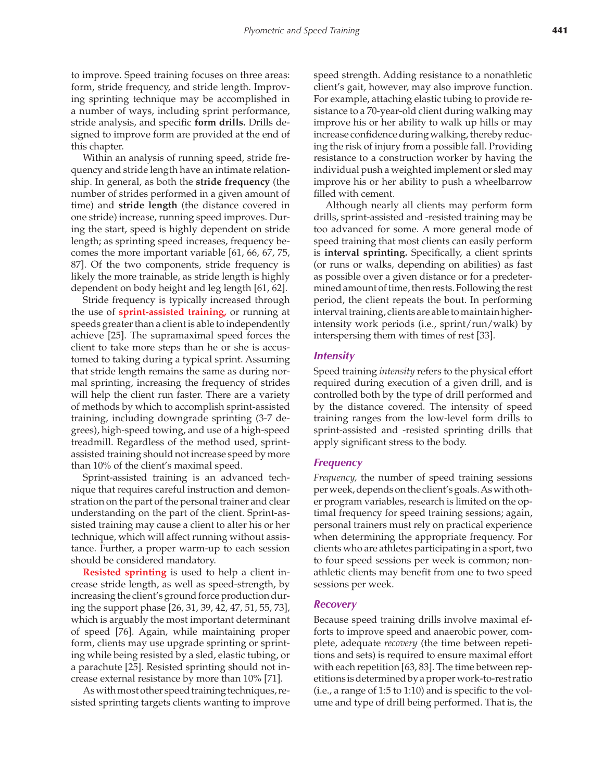to improve. Speed training focuses on three areas: form, stride frequency, and stride length. Improving sprinting technique may be accomplished in a number of ways, including sprint performance, stride analysis, and specific **form drills.** Drills designed to improve form are provided at the end of this chapter.

Within an analysis of running speed, stride frequency and stride length have an intimate relationship. In general, as both the **stride frequency** (the number of strides performed in a given amount of time) and **stride length** (the distance covered in one stride) increase, running speed improves. During the start, speed is highly dependent on stride length; as sprinting speed increases, frequency becomes the more important variable [61, 66, 67, 75, 87]. Of the two components, stride frequency is likely the more trainable, as stride length is highly dependent on body height and leg length [61, 62].

Stride frequency is typically increased through the use of **sprint-assisted training,** or running at speeds greater than a client is able to independently achieve [25]. The supramaximal speed forces the client to take more steps than he or she is accustomed to taking during a typical sprint. Assuming that stride length remains the same as during normal sprinting, increasing the frequency of strides will help the client run faster. There are a variety of methods by which to accomplish sprint-assisted training, including downgrade sprinting (3-7 degrees), high-speed towing, and use of a high-speed treadmill. Regardless of the method used, sprintassisted training should not increase speed by more than 10% of the client's maximal speed.

Sprint-assisted training is an advanced technique that requires careful instruction and demonstration on the part of the personal trainer and clear understanding on the part of the client. Sprint-assisted training may cause a client to alter his or her technique, which will affect running without assistance. Further, a proper warm-up to each session should be considered mandatory.

**Resisted sprinting** is used to help a client increase stride length, as well as speed-strength, by increasing the client's ground force production during the support phase [26, 31, 39, 42, 47, 51, 55, 73], which is arguably the most important determinant of speed [76]. Again, while maintaining proper form, clients may use upgrade sprinting or sprinting while being resisted by a sled, elastic tubing, or a parachute [25]. Resisted sprinting should not increase external resistance by more than 10% [71].

As with most other speed training techniques, resisted sprinting targets clients wanting to improve

speed strength. Adding resistance to a nonathletic client's gait, however, may also improve function. For example, attaching elastic tubing to provide resistance to a 70-year-old client during walking may improve his or her ability to walk up hills or may increase confidence during walking, thereby reducing the risk of injury from a possible fall. Providing resistance to a construction worker by having the individual push a weighted implement or sled may improve his or her ability to push a wheelbarrow filled with cement.

Although nearly all clients may perform form drills, sprint-assisted and -resisted training may be too advanced for some. A more general mode of speed training that most clients can easily perform is **interval sprinting.** Specifically, a client sprints (or runs or walks, depending on abilities) as fast as possible over a given distance or for a predetermined amount of time, then rests. Following the rest period, the client repeats the bout. In performing interval training, clients are able to maintain higherintensity work periods (i.e., sprint/run/walk) by interspersing them with times of rest [33].

#### *Intensity*

Speed training *intensity* refers to the physical effort required during execution of a given drill, and is controlled both by the type of drill performed and by the distance covered. The intensity of speed training ranges from the low-level form drills to sprint-assisted and -resisted sprinting drills that apply significant stress to the body.

#### *Frequency*

*Frequency,* the number of speed training sessions per week, depends on the client's goals. As with other program variables, research is limited on the optimal frequency for speed training sessions; again, personal trainers must rely on practical experience when determining the appropriate frequency. For clients who are athletes participating in a sport, two to four speed sessions per week is common; nonathletic clients may benefit from one to two speed sessions per week.

#### *Recovery*

Because speed training drills involve maximal efforts to improve speed and anaerobic power, complete, adequate *recovery* (the time between repetitions and sets) is required to ensure maximal effort with each repetition [63, 83]. The time between repetitions is determined by a proper work-to-rest ratio (i.e., a range of 1:5 to 1:10) and is specific to the volume and type of drill being performed. That is, the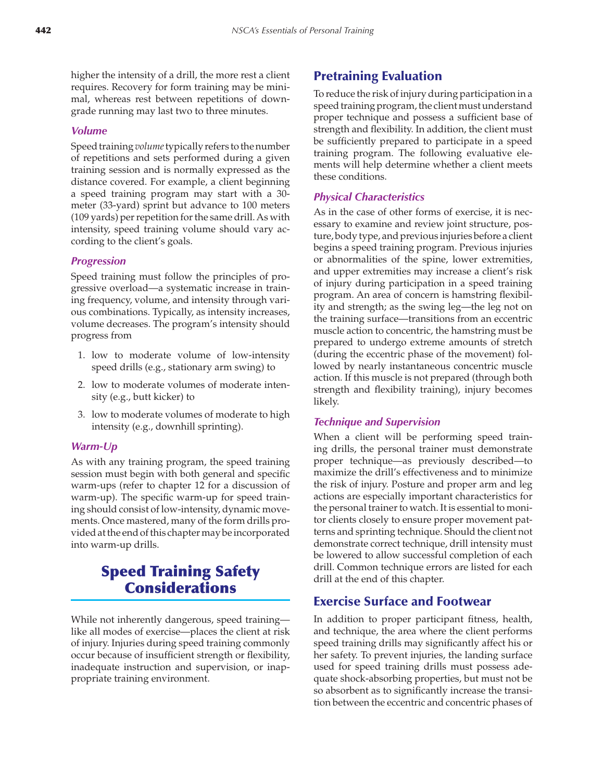higher the intensity of a drill, the more rest a client requires. Recovery for form training may be minimal, whereas rest between repetitions of downgrade running may last two to three minutes.

### *Volume*

Speed training *volume*typically refers to the number of repetitions and sets performed during a given training session and is normally expressed as the distance covered. For example, a client beginning a speed training program may start with a 30 meter (33-yard) sprint but advance to 100 meters (109 yards) per repetition for the same drill. As with intensity, speed training volume should vary according to the client's goals.

### *Progression*

Speed training must follow the principles of progressive overload—a systematic increase in training frequency, volume, and intensity through various combinations. Typically, as intensity increases, volume decreases. The program's intensity should progress from

- 1. low to moderate volume of low-intensity speed drills (e.g., stationary arm swing) to
- 2. low to moderate volumes of moderate intensity (e.g., butt kicker) to
- 3. low to moderate volumes of moderate to high intensity (e.g., downhill sprinting).

#### *Warm-Up*

As with any training program, the speed training session must begin with both general and specific warm-ups (refer to chapter 12 for a discussion of warm-up). The specific warm-up for speed training should consist of low-intensity, dynamic movements. Once mastered, many of the form drills provided at the end of this chapter may be incorporated into warm-up drills.

# **Speed Training Safety Considerations**

While not inherently dangerous, speed training like all modes of exercise—places the client at risk of injury. Injuries during speed training commonly occur because of insufficient strength or flexibility, inadequate instruction and supervision, or inappropriate training environment.

### **Pretraining Evaluation**

To reduce the risk of injury during participation in a speed training program, the client must understand proper technique and possess a sufficient base of strength and flexibility. In addition, the client must be sufficiently prepared to participate in a speed training program. The following evaluative elements will help determine whether a client meets these conditions.

#### *Physical Characteristics*

As in the case of other forms of exercise, it is necessary to examine and review joint structure, posture, body type, and previous injuries before a client begins a speed training program. Previous injuries or abnormalities of the spine, lower extremities, and upper extremities may increase a client's risk of injury during participation in a speed training program. An area of concern is hamstring flexibility and strength; as the swing leg—the leg not on the training surface—transitions from an eccentric muscle action to concentric, the hamstring must be prepared to undergo extreme amounts of stretch (during the eccentric phase of the movement) followed by nearly instantaneous concentric muscle action. If this muscle is not prepared (through both strength and flexibility training), injury becomes likely.

### *Technique and Supervision*

When a client will be performing speed training drills, the personal trainer must demonstrate proper technique—as previously described—to maximize the drill's effectiveness and to minimize the risk of injury. Posture and proper arm and leg actions are especially important characteristics for the personal trainer to watch. It is essential to monitor clients closely to ensure proper movement patterns and sprinting technique. Should the client not demonstrate correct technique, drill intensity must be lowered to allow successful completion of each drill. Common technique errors are listed for each drill at the end of this chapter.

### **Exercise Surface and Footwear**

In addition to proper participant fitness, health, and technique, the area where the client performs speed training drills may significantly affect his or her safety. To prevent injuries, the landing surface used for speed training drills must possess adequate shock-absorbing properties, but must not be so absorbent as to significantly increase the transition between the eccentric and concentric phases of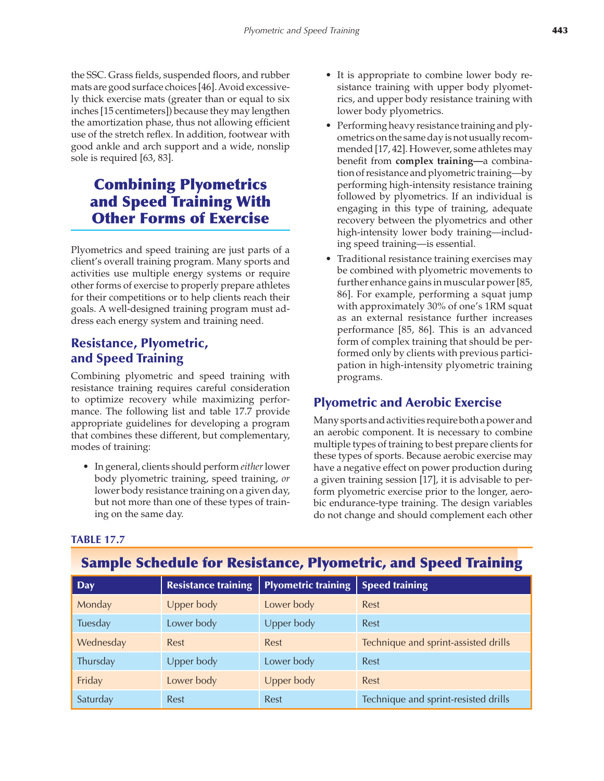the SSC. Grass fields, suspended floors, and rubber mats are good surface choices [46]. Avoid excessively thick exercise mats (greater than or equal to six inches [15 centimeters]) because they may lengthen the amortization phase, thus not allowing efficient use of the stretch reflex. In addition, footwear with good ankle and arch support and a wide, nonslip sole is required [63, 83].

# **Combining Plyometrics and Speed Training With Other Forms of Exercise**

Plyometrics and speed training are just parts of a client's overall training program. Many sports and activities use multiple energy systems or require other forms of exercise to properly prepare athletes for their competitions or to help clients reach their goals. A well-designed training program must address each energy system and training need.

# **Resistance, Plyometric, and Speed Training**

Combining plyometric and speed training with resistance training requires careful consideration to optimize recovery while maximizing performance. The following list and table 17.7 provide appropriate guidelines for developing a program that combines these different, but complementary, modes of training:

• In general, clients should perform *either*lower body plyometric training, speed training, *or*  lower body resistance training on a given day, but not more than one of these types of training on the same day.

- It is appropriate to combine lower body resistance training with upper body plyometrics, and upper body resistance training with lower body plyometrics.
- Performing heavy resistance training and plyometrics on the same day is not usually recommended [17, 42]. However, some athletes may benefit from **complex training—**a combination of resistance and plyometric training—by performing high-intensity resistance training followed by plyometrics. If an individual is engaging in this type of training, adequate recovery between the plyometrics and other high-intensity lower body training—including speed training—is essential.
- Traditional resistance training exercises may be combined with plyometric movements to further enhance gains in muscular power [85, 86]. For example, performing a squat jump with approximately 30% of one's 1RM squat as an external resistance further increases performance [85, 86]. This is an advanced form of complex training that should be performed only by clients with previous participation in high-intensity plyometric training programs.

# **Plyometric and Aerobic Exercise**

Many sports and activities require both a power and an aerobic component. It is necessary to combine multiple types of training to best prepare clients for these types of sports. Because aerobic exercise may have a negative effect on power production during a given training session [17], it is advisable to perform plyometric exercise prior to the longer, aerobic endurance-type training. The design variables do not change and should complement each other

| Day       | <b>Resistance training</b> | <b>Plyometric training</b> | <b>Speed training</b>                |
|-----------|----------------------------|----------------------------|--------------------------------------|
| Monday    | Upper body                 | Lower body                 | Rest                                 |
| Tuesday   | Lower body                 | Upper body                 | Rest                                 |
| Wednesday | Rest                       | Rest                       | Technique and sprint-assisted drills |
| Thursday  | Upper body                 | Lower body                 | Rest                                 |
| Friday    | Lower body                 | Upper body                 | Rest                                 |
| Saturday  | Rest                       | Rest                       | Technique and sprint-resisted drills |

**Sample Schedule for Resistance, Plyometric, and Speed Training**

### **TABLE 17.7**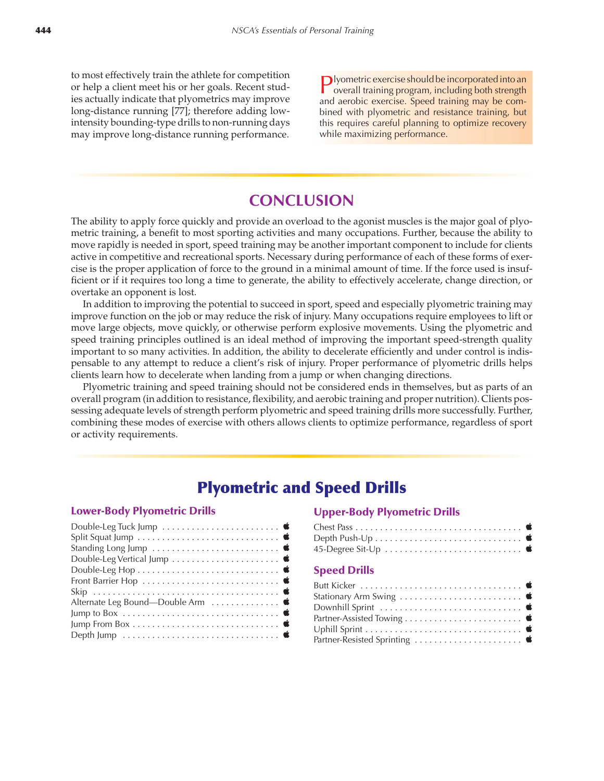to most effectively train the athlete for competition or help a client meet his or her goals. Recent studies actually indicate that plyometrics may improve long-distance running [77]; therefore adding lowintensity bounding-type drills to non-running days may improve long-distance running performance.

Plyometric exercise should be incorporated into an overall training program, including both strength and aerobic exercise. Speed training may be combined with plyometric and resistance training, but this requires careful planning to optimize recovery while maximizing performance.

# **CONCLUSION**

The ability to apply force quickly and provide an overload to the agonist muscles is the major goal of plyometric training, a benefit to most sporting activities and many occupations. Further, because the ability to move rapidly is needed in sport, speed training may be another important component to include for clients active in competitive and recreational sports. Necessary during performance of each of these forms of exercise is the proper application of force to the ground in a minimal amount of time. If the force used is insufficient or if it requires too long a time to generate, the ability to effectively accelerate, change direction, or overtake an opponent is lost.

In addition to improving the potential to succeed in sport, speed and especially plyometric training may improve function on the job or may reduce the risk of injury. Many occupations require employees to lift or move large objects, move quickly, or otherwise perform explosive movements. Using the plyometric and speed training principles outlined is an ideal method of improving the important speed-strength quality important to so many activities. In addition, the ability to decelerate efficiently and under control is indispensable to any attempt to reduce a client's risk of injury. Proper performance of plyometric drills helps clients learn how to decelerate when landing from a jump or when changing directions.

Plyometric training and speed training should not be considered ends in themselves, but as parts of an overall program (in addition to resistance, flexibility, and aerobic training and proper nutrition). Clients possessing adequate levels of strength perform plyometric and speed training drills more successfully. Further, combining these modes of exercise with others allows clients to optimize performance, regardless of sport or activity requirements.

# **Plyometric and Speed Drills**

### **Lower-Body Plyometric Drills**

| Double-Leg Hop $\dots\dots\dots\dots\dots\dots\dots\dots\dots$ |  |
|----------------------------------------------------------------|--|
|                                                                |  |
|                                                                |  |
| Alternate Leg Bound—Double Arm                                 |  |
|                                                                |  |
|                                                                |  |
|                                                                |  |

### **Upper-Body Plyometric Drills**

### **Speed Drills**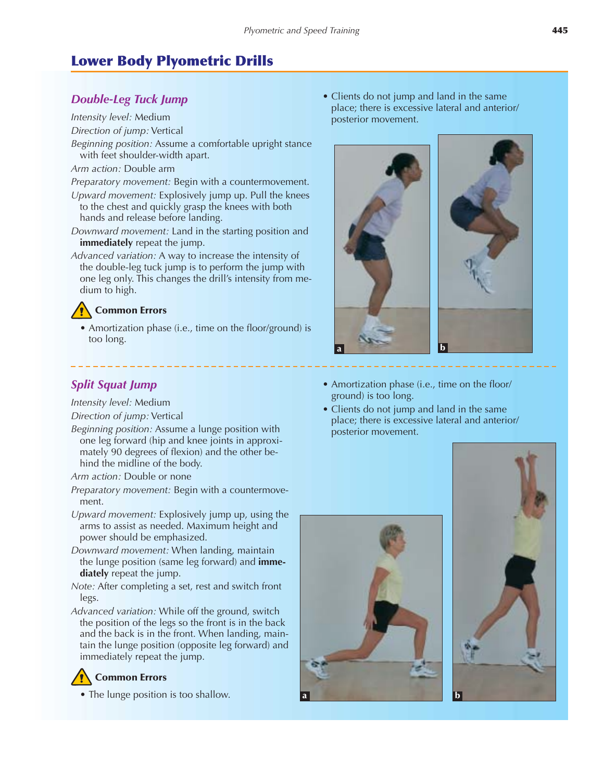# **Lower Body Plyometric Drills**

### *Double-Leg Tuck Jump*

*Intensity level:* Medium

*Direction of jump:* Vertical

- *Beginning position:* Assume a comfortable upright stance with feet shoulder-width apart.
- *Arm action:* Double arm

*Preparatory movement:* Begin with a countermovement.

- *Upward movement:* Explosively jump up. Pull the knees to the chest and quickly grasp the knees with both hands and release before landing.
- *Downward movement:* Land in the starting position and **immediately** repeat the jump.
- *Advanced variation:* A way to increase the intensity of the double-leg tuck jump is to perform the jump with one leg only. This changes the drill's intensity from medium to high.

# **Common Errors**

- Amortization phase (i.e., time on the floor/ground) is too long.
- *Split Squat Jump*

*Intensity level:* Medium

### *Direction of jump:* Vertical

*Beginning position:* Assume a lunge position with one leg forward (hip and knee joints in approximately 90 degrees of flexion) and the other behind the midline of the body.

*Arm action:* Double or none

- *Preparatory movement:* Begin with a countermovement.
- *Upward movement:* Explosively jump up, using the arms to assist as needed. Maximum height and power should be emphasized.
- *Downward movement:* When landing, maintain the lunge position (same leg forward) and **immediately** repeat the jump.
- *Note:* After completing a set, rest and switch front legs.
- *Advanced variation:* While off the ground, switch the position of the legs so the front is in the back and the back is in the front. When landing, maintain the lunge position (opposite leg forward) and immediately repeat the jump.

# **Common Errors**

• The lunge position is too shallow.

• Clients do not jump and land in the same place; there is excessive lateral and anterior/ posterior movement.



- Amortization phase (i.e., time on the floor/ ground) is too long.
- Clients do not jump and land in the same place; there is excessive lateral and anterior/ posterior movement.



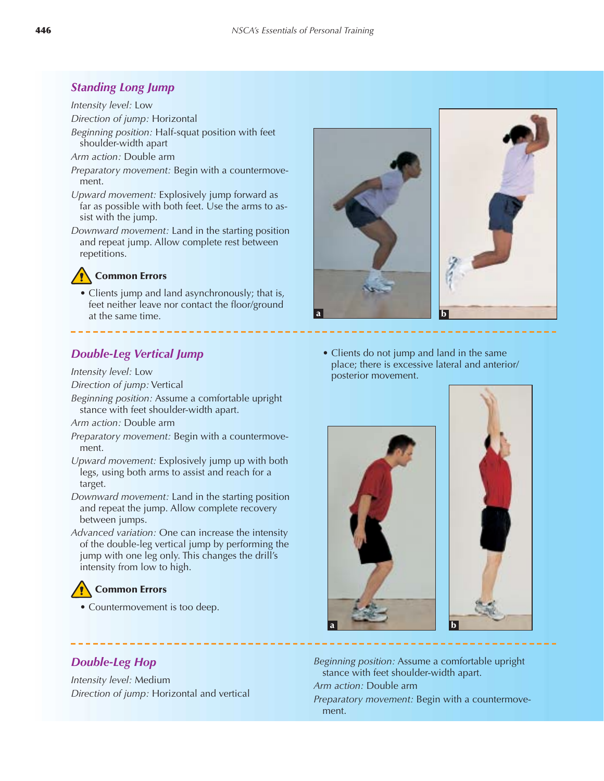# *Standing Long Jump*

#### *Intensity level:* Low

*Direction of jump:* Horizontal

*Beginning position:* Half-squat position with feet shoulder-width apart

- *Arm action:* Double arm
- *Preparatory movement:* Begin with a countermovement.
- *Upward movement:* Explosively jump forward as far as possible with both feet. Use the arms to assist with the jump.
- *Downward movement:* Land in the starting position and repeat jump. Allow complete rest between repetitions.



# **Common Errors**

• Clients jump and land asynchronously; that is, feet neither leave nor contact the floor/ground at the same time.

# *Double-Leg Vertical Jump*

### *Intensity level:* Low

*Direction of jump:* Vertical

*Beginning position:* Assume a comfortable upright stance with feet shoulder-width apart.

### *Arm action:* Double arm

- *Preparatory movement:* Begin with a countermovement.
- *Upward movement:* Explosively jump up with both legs, using both arms to assist and reach for a target.
- *Downward movement:* Land in the starting position and repeat the jump. Allow complete recovery between jumps.
- *Advanced variation:* One can increase the intensity of the double-leg vertical jump by performing the jump with one leg only. This changes the drill's intensity from low to high.

# **Common Errors**

• Countermovement is too deep.

# *Double-Leg Hop*

*Intensity level:* Medium *Direction of jump:* Horizontal and vertical



• Clients do not jump and land in the same place; there is excessive lateral and anterior/ posterior movement.





*Beginning position:* Assume a comfortable upright stance with feet shoulder-width apart.

*Arm action:* Double arm

*Preparatory movement:* Begin with a countermovement.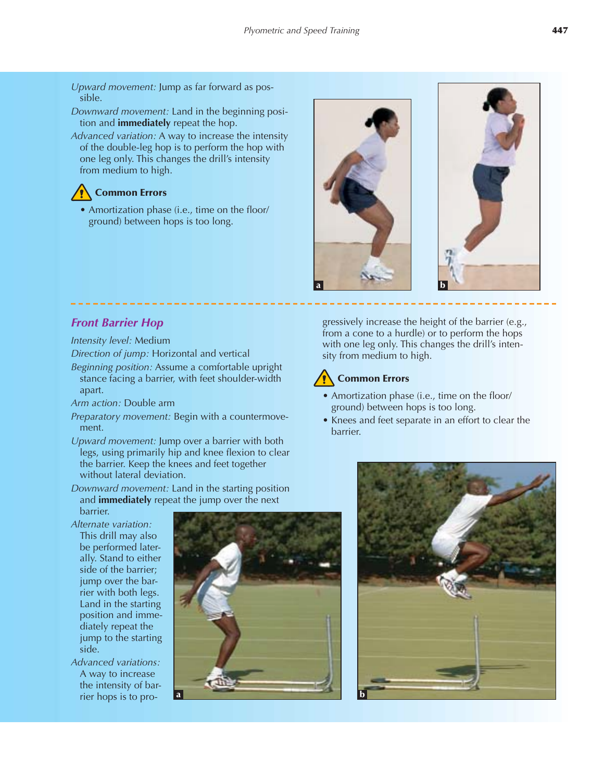- *Upward movement:* Jump as far forward as possible.
- *Downward movement:* Land in the beginning position and **immediately** repeat the hop.
- *Advanced variation:* A way to increase the intensity of the double-leg hop is to perform the hop with one leg only. This changes the drill's intensity from medium to high.

### **Common Errors**

• Amortization phase (i.e., time on the floor/ ground) between hops is too long.





### *Front Barrier Hop*

#### *Intensity level:* Medium

*Direction of jump:* Horizontal and vertical

- *Beginning position:* Assume a comfortable upright stance facing a barrier, with feet shoulder-width apart.
- *Arm action:* Double arm
- *Preparatory movement:* Begin with a countermovement.
- *Upward movement:* Jump over a barrier with both legs, using primarily hip and knee flexion to clear the barrier. Keep the knees and feet together without lateral deviation.
- *Downward movement:* Land in the starting position and **immediately** repeat the jump over the next
- barrier.

*Alternate variation:* This drill may also be performed laterally. Stand to either side of the barrier; jump over the barrier with both legs. Land in the starting position and immediately repeat the jump to the starting side.

*Advanced variations:* A way to increase the intensity of barrier hops is to pro-



gressively increase the height of the barrier (e.g., from a cone to a hurdle) or to perform the hops with one leg only. This changes the drill's intensity from medium to high.



- Amortization phase (i.e., time on the floor/ ground) between hops is too long.
- Knees and feet separate in an effort to clear the barrier.

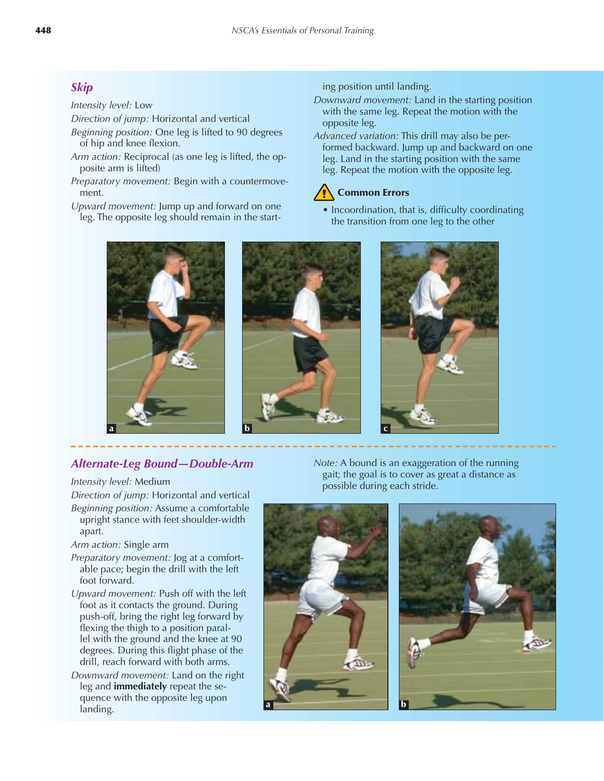# *Skip*

*Intensity level:* Low

*Direction of jump:* Horizontal and vertical

*Beginning position:* One leg is lifted to 90 degrees of hip and knee flexion.

- *Arm action:* Reciprocal (as one leg is lifted, the opposite arm is lifted)
- *Preparatory movement:* Begin with a countermovement.
- *Upward movement:* Jump up and forward on one leg. The opposite leg should remain in the start-

ing position until landing.

- *Downward movement:* Land in the starting position with the same leg. Repeat the motion with the opposite leg.
- *Advanced variation:* This drill may also be performed backward. Jump up and backward on one leg. Land in the starting position with the same leg. Repeat the motion with the opposite leg.

# **Common Errors**

• Incoordination, that is, difficulty coordinating the transition from one leg to the other







# *Alternate-Leg Bound—Double-Arm*

### *Intensity level:* Medium

*Direction of jump:* Horizontal and vertical *Beginning position:* Assume a comfortable

upright stance with feet shoulder-width apart.

*Arm action:* Single arm

- *Preparatory movement:* Jog at a comfortable pace; begin the drill with the left foot forward.
- *Upward movement:* Push off with the left foot as it contacts the ground. During push-off, bring the right leg forward by flexing the thigh to a position parallel with the ground and the knee at 90 degrees. During this flight phase of the drill, reach forward with both arms.
- *Downward movement:* Land on the right leg and **immediately** repeat the sequence with the opposite leg upon landing. **<sup>a</sup> <sup>b</sup>**

*Note:* A bound is an exaggeration of the running gait; the goal is to cover as great a distance as possible during each stride.



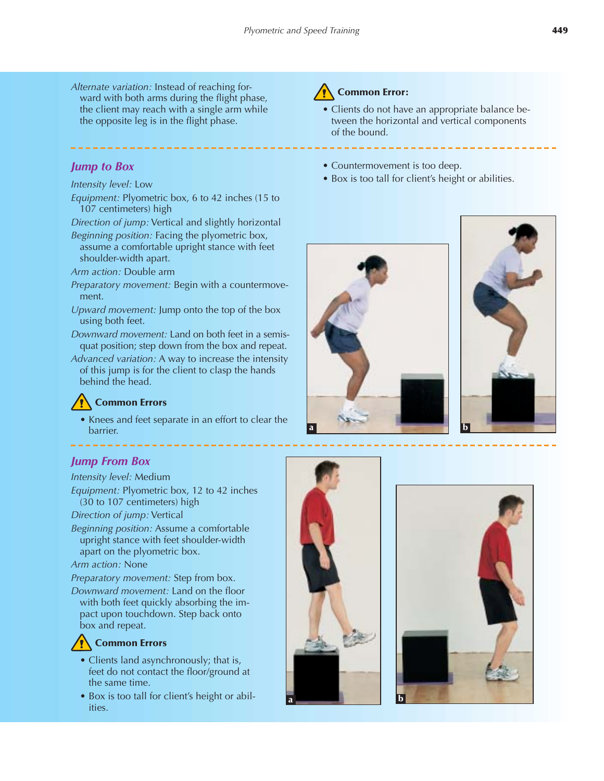*Alternate variation:* Instead of reaching forward with both arms during the flight phase, the client may reach with a single arm while the opposite leg is in the flight phase.

### *Jump to Box*

#### *Intensity level:* Low

- *Equipment:* Plyometric box, 6 to 42 inches (15 to 107 centimeters) high
- *Direction of jump:* Vertical and slightly horizontal *Beginning position:* Facing the plyometric box,
- assume a comfortable upright stance with feet shoulder-width apart.
- *Arm action:* Double arm
- *Preparatory movement:* Begin with a countermovement.
- *Upward movement:* Jump onto the top of the box using both feet.
- *Downward movement:* Land on both feet in a semisquat position; step down from the box and repeat.
- *Advanced variation:* A way to increase the intensity of this jump is for the client to clasp the hands behind the head.

# **Common Errors**

• Knees and feet separate in an effort to clear the barrier. **<sup>a</sup> <sup>b</sup>**

### *Jump From Box*

### *Intensity level:* Medium

- *Equipment:* Plyometric box, 12 to 42 inches (30 to 107 centimeters) high
- *Direction of jump:* Vertical
- *Beginning position:* Assume a comfortable upright stance with feet shoulder-width apart on the plyometric box.

#### *Arm action:* None

*Preparatory movement:* Step from box.

**Downward movement: Land on the floor** with both feet quickly absorbing the impact upon touchdown. Step back onto box and repeat.



### **Common Errors**

- Clients land asynchronously; that is, feet do not contact the floor/ground at the same time.
- Box is too tall for client's height or abilities.



# **Common Error:**

- Clients do not have an appropriate balance between the horizontal and vertical components of the bound.
- Countermovement is too deep.
- Box is too tall for client's height or abilities.







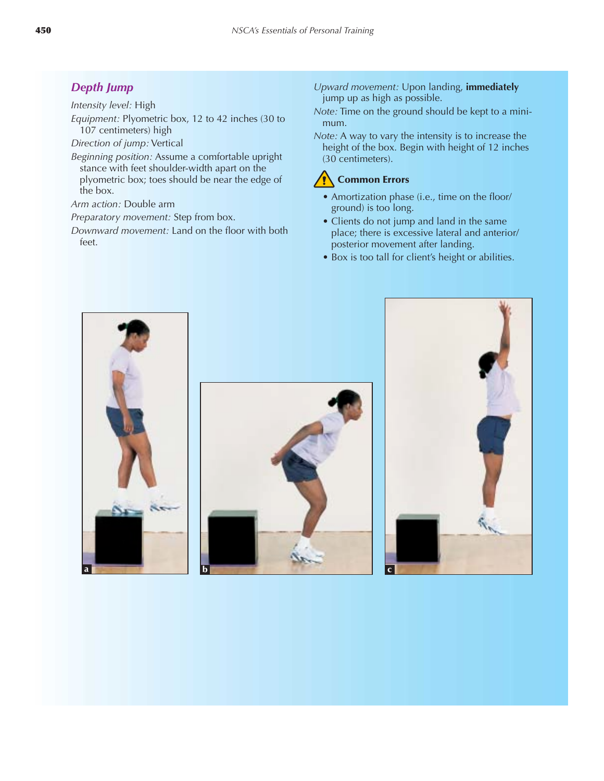# *Depth Jump*

*Intensity level:* High

*Equipment:* Plyometric box, 12 to 42 inches (30 to 107 centimeters) high

*Direction of jump:* Vertical

- *Beginning position:* Assume a comfortable upright stance with feet shoulder-width apart on the plyometric box; toes should be near the edge of the box.
- *Arm action:* Double arm

*Preparatory movement:* Step from box.

*Downward movement:* Land on the floor with both feet.

*Upward movement:* Upon landing, **immediately** jump up as high as possible.

- *Note:* Time on the ground should be kept to a minimum.
- *Note:* A way to vary the intensity is to increase the height of the box. Begin with height of 12 inches (30 centimeters).

#### **Common Errors** Ţ

- Amortization phase (i.e., time on the floor/ ground) is too long.
- Clients do not jump and land in the same place; there is excessive lateral and anterior/ posterior movement after landing.
- Box is too tall for client's height or abilities.



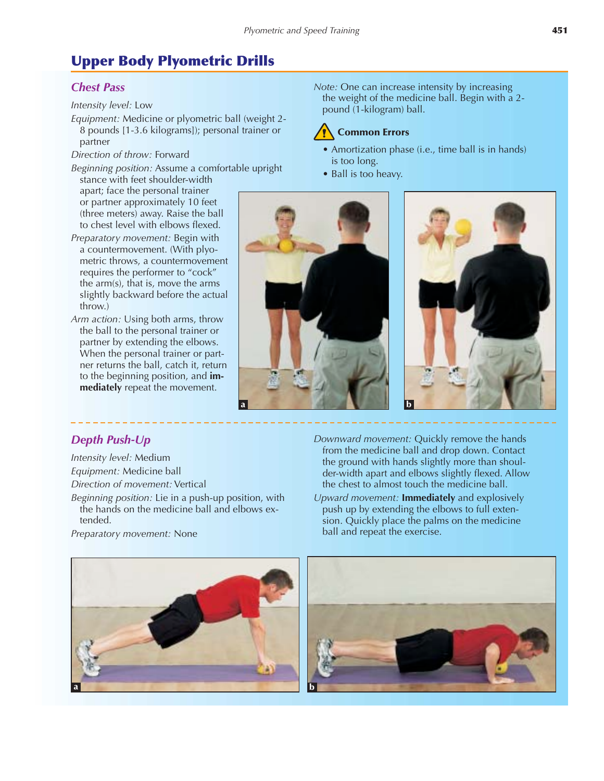# **Upper Body Plyometric Drills**

# *Chest Pass*

*Intensity level:* Low

*Equipment:* Medicine or plyometric ball (weight 2- 8 pounds [1-3.6 kilograms]); personal trainer or partner

### *Direction of throw:* Forward

- *Beginning position:* Assume a comfortable upright stance with feet shoulder-width apart; face the personal trainer
- or partner approximately 10 feet (three meters) away. Raise the ball to chest level with elbows flexed.
- *Preparatory movement:* Begin with a countermovement. (With plyometric throws, a countermovement requires the performer to "cock" the arm(s), that is, move the arms slightly backward before the actual throw.)
- *Arm action:* Using both arms, throw the ball to the personal trainer or partner by extending the elbows. When the personal trainer or partner returns the ball, catch it, return to the beginning position, and **immediately** repeat the movement.

*Note:* One can increase intensity by increasing the weight of the medicine ball. Begin with a 2 pound (1-kilogram) ball.

# **Common Errors**

- Amortization phase (i.e., time ball is in hands) is too long.
- Ball is too heavy.





# *Depth Push-Up*

*Intensity level:* Medium *Equipment:* Medicine ball

*Direction of movement:* Vertical

- *Beginning position:* Lie in a push-up position, with the hands on the medicine ball and elbows extended.
- *Preparatory movement:* None
- *Downward movement:* Quickly remove the hands from the medicine ball and drop down. Contact the ground with hands slightly more than shoulder-width apart and elbows slightly flexed. Allow the chest to almost touch the medicine ball.
- *Upward movement:* **Immediately** and explosively push up by extending the elbows to full extension. Quickly place the palms on the medicine ball and repeat the exercise.



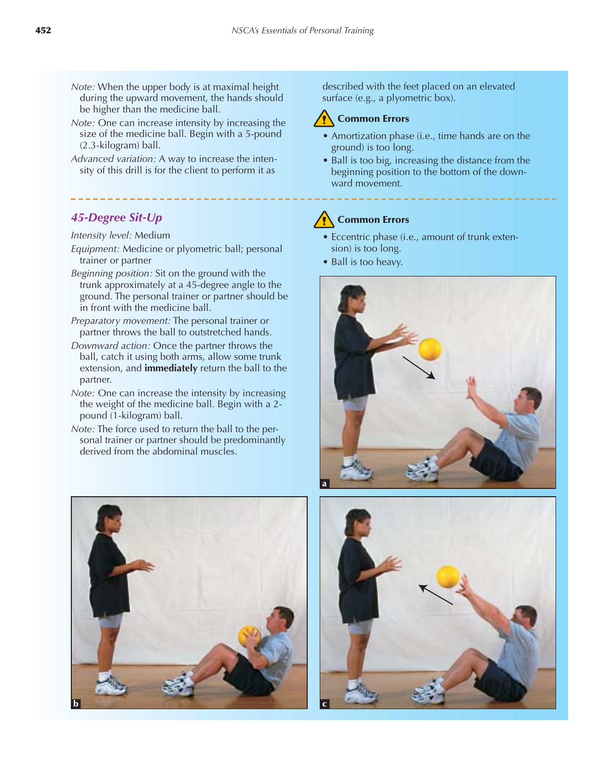- *Note:* When the upper body is at maximal height during the upward movement, the hands should be higher than the medicine ball.
- *Note:* One can increase intensity by increasing the size of the medicine ball. Begin with a 5-pound (2.3-kilogram) ball.
- *Advanced variation:* A way to increase the intensity of this drill is for the client to perform it as

### *45-Degree Sit-Up*

#### *Intensity level:* Medium

- *Equipment:* Medicine or plyometric ball; personal trainer or partner
- *Beginning position:* Sit on the ground with the trunk approximately at a 45-degree angle to the ground. The personal trainer or partner should be in front with the medicine ball.
- *Preparatory movement:* The personal trainer or partner throws the ball to outstretched hands.
- *Downward action:* Once the partner throws the ball, catch it using both arms, allow some trunk extension, and **immediately** return the ball to the partner.
- *Note:* One can increase the intensity by increasing the weight of the medicine ball. Begin with a 2 pound (1-kilogram) ball.
- *Note:* The force used to return the ball to the personal trainer or partner should be predominantly derived from the abdominal muscles.



described with the feet placed on an elevated surface (e.g., a plyometric box).



- Amortization phase (i.e., time hands are on the ground) is too long.
- Ball is too big, increasing the distance from the beginning position to the bottom of the downward movement.

# **Common Errors**

- Eccentric phase (i.e., amount of trunk extension) is too long.
- Ball is too heavy.



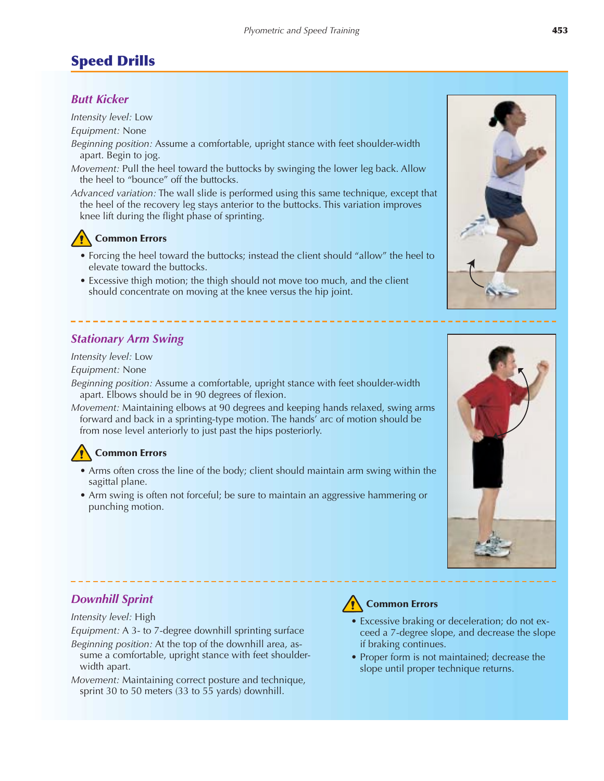# **Speed Drills**

# *Butt Kicker*

*Intensity level:* Low

*Equipment:* None

- *Beginning position:* Assume a comfortable, upright stance with feet shoulder-width apart. Begin to jog.
- *Movement:* Pull the heel toward the buttocks by swinging the lower leg back. Allow the heel to "bounce" off the buttocks.
- *Advanced variation:* The wall slide is performed using this same technique, except that the heel of the recovery leg stays anterior to the buttocks. This variation improves knee lift during the flight phase of sprinting.

# **Common Errors**

- Forcing the heel toward the buttocks; instead the client should "allow" the heel to elevate toward the buttocks.
- Excessive thigh motion; the thigh should not move too much, and the client should concentrate on moving at the knee versus the hip joint.

# *Stationary Arm Swing*

*Intensity level:* Low

*Equipment:* None

*Beginning position:* Assume a comfortable, upright stance with feet shoulder-width apart. Elbows should be in 90 degrees of flexion.

*Movement:* Maintaining elbows at 90 degrees and keeping hands relaxed, swing arms forward and back in a sprinting-type motion. The hands' arc of motion should be from nose level anteriorly to just past the hips posteriorly.

# **Common Errors**

- Arms often cross the line of the body; client should maintain arm swing within the sagittal plane.
- Arm swing is often not forceful; be sure to maintain an aggressive hammering or punching motion.

# *Downhill Sprint*

*Intensity level:* High

*Equipment:* A 3- to 7-degree downhill sprinting surface

- *Beginning position:* At the top of the downhill area, assume a comfortable, upright stance with feet shoulderwidth apart.
- *Movement:* Maintaining correct posture and technique, sprint 30 to 50 meters (33 to 55 yards) downhill.



# **Common Errors**

- Excessive braking or deceleration; do not exceed a 7-degree slope, and decrease the slope if braking continues.
- Proper form is not maintained; decrease the slope until proper technique returns.



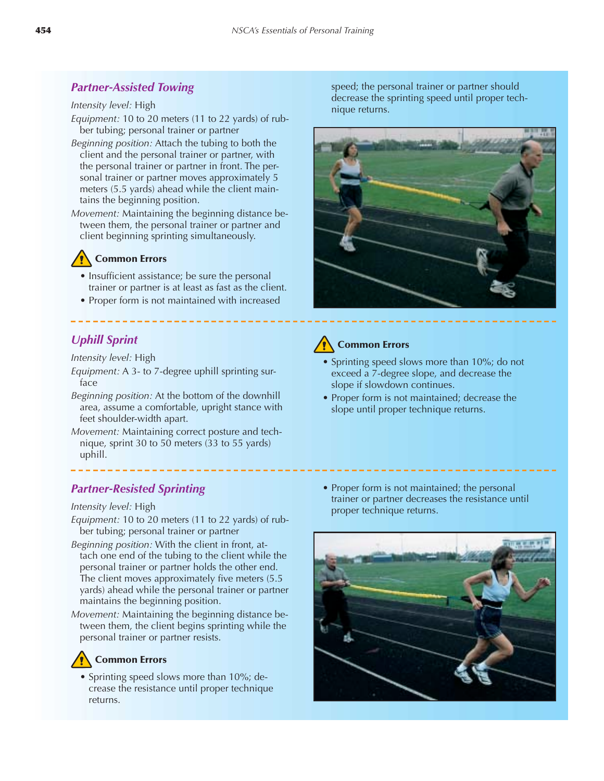# *Partner-Assisted Towing*

### *Intensity level:* High

*Equipment:* 10 to 20 meters (11 to 22 yards) of rubber tubing; personal trainer or partner

- *Beginning position:* Attach the tubing to both the client and the personal trainer or partner, with the personal trainer or partner in front. The personal trainer or partner moves approximately 5 meters (5.5 yards) ahead while the client maintains the beginning position.
- *Movement:* Maintaining the beginning distance between them, the personal trainer or partner and client beginning sprinting simultaneously.

# **Common Errors**

- Insufficient assistance; be sure the personal trainer or partner is at least as fast as the client.
- Proper form is not maintained with increased

# *Uphill Sprint*

*Intensity level:* High

- *Equipment:* A 3- to 7-degree uphill sprinting surface
- *Beginning position:* At the bottom of the downhill area, assume a comfortable, upright stance with feet shoulder-width apart.
- *Movement:* Maintaining correct posture and technique, sprint 30 to 50 meters (33 to 55 yards) uphill.

# *Partner-Resisted Sprinting*

### *Intensity level:* High

- *Equipment:* 10 to 20 meters (11 to 22 yards) of rubber tubing; personal trainer or partner
- *Beginning position:* With the client in front, attach one end of the tubing to the client while the personal trainer or partner holds the other end. The client moves approximately five meters (5.5) yards) ahead while the personal trainer or partner maintains the beginning position.
- *Movement:* Maintaining the beginning distance between them, the client begins sprinting while the personal trainer or partner resists.

### **Common Errors**

• Sprinting speed slows more than 10%; decrease the resistance until proper technique returns.

speed; the personal trainer or partner should decrease the sprinting speed until proper technique returns.





# **Common Errors**

- Sprinting speed slows more than 10%; do not exceed a 7-degree slope, and decrease the slope if slowdown continues.
- Proper form is not maintained; decrease the slope until proper technique returns.
- Proper form is not maintained; the personal trainer or partner decreases the resistance until proper technique returns.

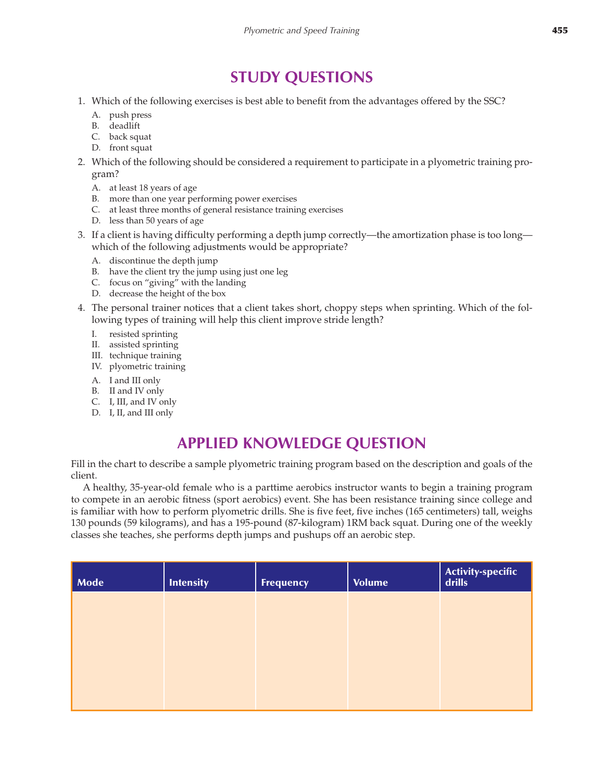# **STUDY QUESTIONS**

- 1. Which of the following exercises is best able to benefit from the advantages offered by the SSC?
	- A. push press
	- B. deadlift
	- C. back squat
	- D. front squat
- 2. Which of the following should be considered a requirement to participate in a plyometric training program?
	- A. at least 18 years of age
	- B. more than one year performing power exercises
	- C. at least three months of general resistance training exercises
	- D. less than 50 years of age
- 3. If a client is having difficulty performing a depth jump correctly—the amortization phase is too long which of the following adjustments would be appropriate?
	- A. discontinue the depth jump
	- B. have the client try the jump using just one leg
	- C. focus on "giving" with the landing
	- D. decrease the height of the box
- 4. The personal trainer notices that a client takes short, choppy steps when sprinting. Which of the following types of training will help this client improve stride length?
	- I. resisted sprinting
	- II. assisted sprinting
	- III. technique training
	- IV. plyometric training
	- A. I and III only
	- B. II and IV only
	- C. I, III, and IV only
	- D. I, II, and III only

# **APPLIED KNOWLEDGE QUESTION**

Fill in the chart to describe a sample plyometric training program based on the description and goals of the client.

A healthy, 35-year-old female who is a parttime aerobics instructor wants to begin a training program to compete in an aerobic fitness (sport aerobics) event. She has been resistance training since college and is familiar with how to perform plyometric drills. She is five feet, five inches (165 centimeters) tall, weighs 130 pounds (59 kilograms), and has a 195-pound (87-kilogram) 1RM back squat. During one of the weekly classes she teaches, she performs depth jumps and pushups off an aerobic step.

| Mode | Intensity | <b>Frequency</b> | <b>Volume</b> | Activity-specific<br>drills |
|------|-----------|------------------|---------------|-----------------------------|
|      |           |                  |               |                             |
|      |           |                  |               |                             |
|      |           |                  |               |                             |
|      |           |                  |               |                             |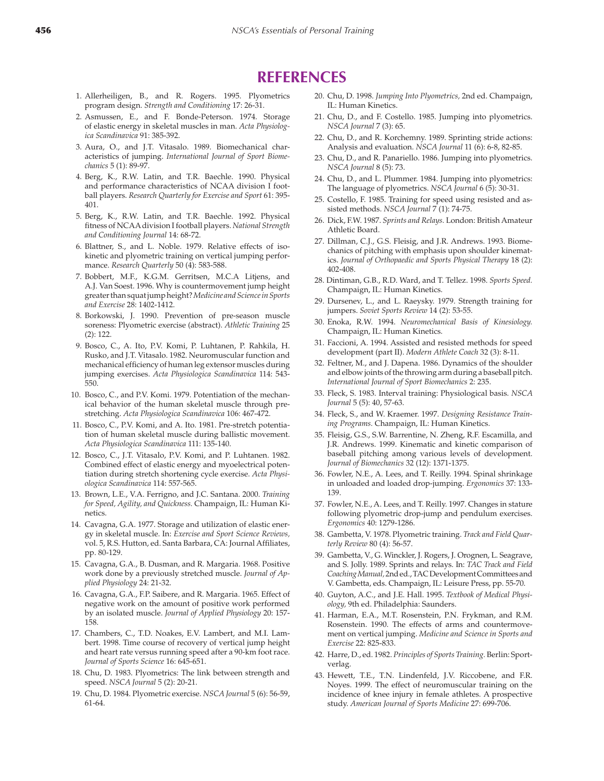# **REFERENCES**

- 1. Allerheiligen, B., and R. Rogers. 1995. Plyometrics program design. *Strength and Conditioning* 17: 26-31.
- 2. Asmussen, E., and F. Bonde-Peterson. 1974. Storage of elastic energy in skeletal muscles in man. *Acta Physiologica Scandinavica* 91: 385-392.
- 3. Aura, O., and J.T. Vitasalo. 1989. Biomechanical characteristics of jumping. *International Journal of Sport Biomechanics* 5 (1): 89-97.
- 4. Berg, K., R.W. Latin, and T.R. Baechle. 1990. Physical and performance characteristics of NCAA division I football players. *Research Quarterly for Exercise and Sport* 61: 395- 401.
- 5. Berg, K., R.W. Latin, and T.R. Baechle. 1992. Physical fitness of NCAA division I football players. *National Strength and Conditioning Journal* 14: 68-72.
- 6. Blattner, S., and L. Noble. 1979. Relative effects of isokinetic and plyometric training on vertical jumping performance. *Research Quarterly* 50 (4): 583-588.
- 7. Bobbert, M.F., K.G.M. Gerritsen, M.C.A Litjens, and A.J. Van Soest. 1996. Why is countermovement jump height greater than squat jump height? *Medicine and Science in Sports and Exercise* 28: 1402-1412.
- 8. Borkowski, J. 1990. Prevention of pre-season muscle soreness: Plyometric exercise (abstract). *Athletic Training* 25 (2): 122.
- 9. Bosco, C., A. Ito, P.V. Komi, P. Luhtanen, P. Rahkila, H. Rusko, and J.T. Vitasalo. 1982. Neuromuscular function and mechanical efficiency of human leg extensor muscles during jumping exercises. *Acta Physiologica Scandinavica* 114: 543- 550.
- 10. Bosco, C., and P.V. Komi. 1979. Potentiation of the mechanical behavior of the human skeletal muscle through prestretching. *Acta Physiologica Scandinavica* 106: 467-472.
- 11. Bosco, C., P.V. Komi, and A. Ito. 1981. Pre-stretch potentiation of human skeletal muscle during ballistic movement. *Acta Physiologica Scandinavica* 111: 135-140.
- 12. Bosco, C., J.T. Vitasalo, P.V. Komi, and P. Luhtanen. 1982. Combined effect of elastic energy and myoelectrical potentiation during stretch shortening cycle exercise. *Acta Physiologica Scandinavica* 114: 557-565.
- 13. Brown, L.E., V.A. Ferrigno, and J.C. Santana. 2000. *Training for Speed, Agility, and Quickness.* Champaign, IL: Human Kinetics.
- 14. Cavagna, G.A. 1977. Storage and utilization of elastic energy in skeletal muscle. In: *Exercise and Sport Science Reviews,* vol. 5, R.S. Hutton, ed. Santa Barbara, CA: Journal Affiliates, pp. 80-129.
- 15. Cavagna, G.A., B. Dusman, and R. Margaria. 1968. Positive work done by a previously stretched muscle. *Journal of Applied Physiology* 24: 21-32.
- 16. Cavagna, G.A., F.P. Saibere, and R. Margaria. 1965. Effect of negative work on the amount of positive work performed by an isolated muscle. *Journal of Applied Physiology* 20: 157- 158.
- 17. Chambers, C., T.D. Noakes, E.V. Lambert, and M.I. Lambert. 1998. Time course of recovery of vertical jump height and heart rate versus running speed after a 90-km foot race. *Journal of Sports Science* 16: 645-651.
- 18. Chu, D. 1983. Plyometrics: The link between strength and speed. *NSCA Journal* 5 (2): 20-21.
- 19. Chu, D. 1984. Plyometric exercise. *NSCA Journal* 5 (6): 56-59, 61-64.
- 20. Chu, D. 1998. *Jumping Into Plyometrics,* 2nd ed. Champaign, IL: Human Kinetics.
- 21. Chu, D., and F. Costello. 1985. Jumping into plyometrics. *NSCA Journal* 7 (3): 65.
- 22. Chu, D., and R. Korchemny. 1989. Sprinting stride actions: Analysis and evaluation. *NSCA Journal* 11 (6): 6-8, 82-85.
- 23. Chu, D., and R. Panariello. 1986. Jumping into plyometrics. *NSCA Journal* 8 (5): 73.
- 24. Chu, D., and L. Plummer. 1984. Jumping into plyometrics: The language of plyometrics. *NSCA Journal* 6 (5): 30-31.
- 25. Costello, F. 1985. Training for speed using resisted and assisted methods. *NSCA Journal* 7 (1): 74-75.
- 26. Dick, F.W. 1987. *Sprints and Relays.* London: British Amateur Athletic Board.
- 27. Dillman, C.J., G.S. Fleisig, and J.R. Andrews. 1993. Biomechanics of pitching with emphasis upon shoulder kinematics. *Journal of Orthopaedic and Sports Physical Therapy* 18 (2): 402-408.
- 28. Dintiman, G.B., R.D. Ward, and T. Tellez. 1998. *Sports Speed.* Champaign, IL: Human Kinetics.
- 29. Dursenev, L., and L. Raeysky. 1979. Strength training for jumpers. *Soviet Sports Review* 14 (2): 53-55.
- 30. Enoka, R.W. 1994. *Neuromechanical Basis of Kinesiology.* Champaign, IL: Human Kinetics.
- 31. Faccioni, A. 1994. Assisted and resisted methods for speed development (part II). *Modern Athlete Coach* 32 (3): 8-11.
- 32. Feltner, M., and J. Dapena. 1986. Dynamics of the shoulder and elbow joints of the throwing arm during a baseball pitch. *International Journal of Sport Biomechanics* 2: 235.
- 33. Fleck, S. 1983. Interval training: Physiological basis. *NSCA Journal* 5 (5): 40, 57-63.
- 34. Fleck, S., and W. Kraemer. 1997. *Designing Resistance Training Programs.* Champaign, IL: Human Kinetics.
- 35. Fleisig, G.S., S.W. Barrentine, N. Zheng, R.F. Escamilla, and J.R. Andrews. 1999. Kinematic and kinetic comparison of baseball pitching among various levels of development. *Journal of Biomechanics* 32 (12): 1371-1375.
- 36. Fowler, N.E., A. Lees, and T. Reilly. 1994. Spinal shrinkage in unloaded and loaded drop-jumping. *Ergonomics* 37: 133- 139.
- 37. Fowler, N.E., A. Lees, and T. Reilly. 1997. Changes in stature following plyometric drop-jump and pendulum exercises. *Ergonomics* 40: 1279-1286.
- 38. Gambetta, V. 1978. Plyometric training. *Track and Field Quarterly Review* 80 (4): 56-57.
- 39. Gambetta, V., G. Winckler, J. Rogers, J. Orognen, L. Seagrave, and S. Jolly. 1989. Sprints and relays. In: *TAC Track and Field Coaching Manual,*2nd ed., TAC Development Committees and V. Gambetta, eds. Champaign, IL: Leisure Press, pp. 55-70.
- 40. Guyton, A.C., and J.E. Hall. 1995. *Textbook of Medical Physiology,* 9th ed. Philadelphia: Saunders.
- 41. Harman, E.A., M.T. Rosenstein, P.N. Frykman, and R.M. Rosenstein. 1990. The effects of arms and countermovement on vertical jumping. *Medicine and Science in Sports and Exercise* 22: 825-833.
- 42. Harre, D., ed. 1982. *Principles of Sports Training.* Berlin: Sportverlag.
- 43. Hewett, T.E., T.N. Lindenfeld, J.V. Riccobene, and F.R. Noyes. 1999. The effect of neuromuscular training on the incidence of knee injury in female athletes. A prospective study. *American Journal of Sports Medicine* 27: 699-706.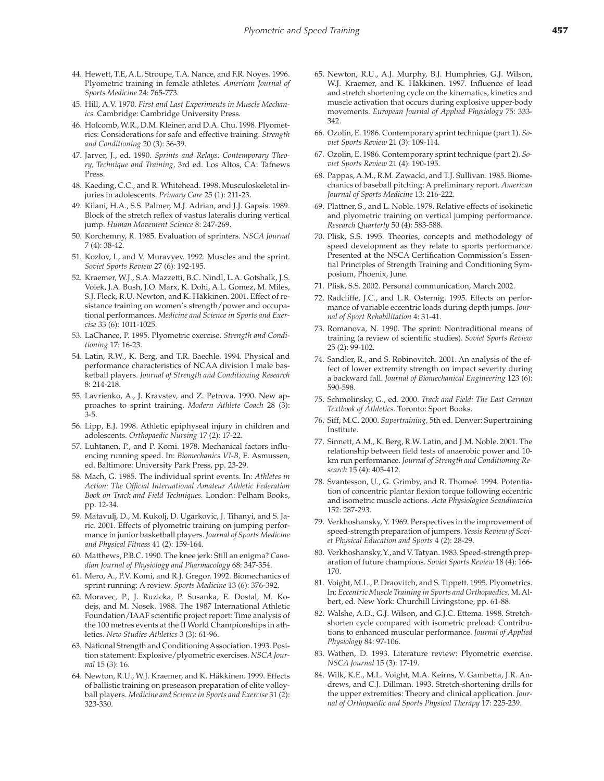- 44. Hewett, T.E, A.L. Stroupe, T.A. Nance, and F.R. Noyes. 1996. Plyometric training in female athletes. *American Journal of Sports Medicine* 24: 765-773.
- 45. Hill, A.V. 1970. *First and Last Experiments in Muscle Mechanics.* Cambridge: Cambridge University Press.
- 46. Holcomb, W.R., D.M. Kleiner, and D.A. Chu. 1998. Plyometrics: Considerations for safe and effective training. *Strength and Conditioning* 20 (3): 36-39.
- 47. Jarver, J., ed. 1990. *Sprints and Relays: Contemporary Theory, Technique and Training,* 3rd ed. Los Altos, CA: Tafnews Press.
- 48. Kaeding, C.C., and R. Whitehead. 1998. Musculoskeletal injuries in adolescents. *Primary Care* 25 (1): 211-23.
- 49. Kilani, H.A., S.S. Palmer, M.J. Adrian, and J.J. Gapsis. 1989. Block of the stretch reflex of vastus lateralis during vertical jump. *Human Movement Science* 8: 247-269.
- 50. Korchemny, R. 1985. Evaluation of sprinters. *NSCA Journal* 7 (4): 38-42.
- 51. Kozlov, I., and V. Muravyev. 1992. Muscles and the sprint. *Soviet Sports Review* 27 (6): 192-195.
- 52. Kraemer, W.J., S.A. Mazzetti, B.C. Nindl, L.A. Gotshalk, J.S. Volek, J.A. Bush, J.O. Marx, K. Dohi, A.L. Gomez, M. Miles, S.J. Fleck, R.U. Newton, and K. Häkkinen. 2001. Effect of resistance training on women's strength/power and occupational performances. *Medicine and Science in Sports and Exercise* 33 (6): 1011-1025.
- 53. LaChance, P. 1995. Plyometric exercise. *Strength and Conditioning* 17: 16-23.
- 54. Latin, R.W., K. Berg, and T.R. Baechle. 1994. Physical and performance characteristics of NCAA division I male basketball players. *Journal of Strength and Conditioning Research*  8: 214-218.
- 55. Lavrienko, A., J. Kravstev, and Z. Petrova. 1990. New approaches to sprint training. *Modern Athlete Coach* 28 (3):  $3 - 5.$
- 56. Lipp, E.J. 1998. Athletic epiphyseal injury in children and adolescents. *Orthopaedic Nursing* 17 (2): 17-22.
- 57. Luhtanen, P., and P. Komi. 1978. Mechanical factors influencing running speed. In: *Biomechanics VI-B,* E. Asmussen, ed. Baltimore: University Park Press, pp. 23-29.
- 58. Mach, G. 1985. The individual sprint events. In: *Athletes in Action: The Official International Amateur Athletic Federation Book on Track and Field Techniques.* London: Pelham Books, pp. 12-34.
- 59. Matavulj, D., M. Kukolj, D. Ugarkovic, J. Tihanyi, and S. Jaric. 2001. Effects of plyometric training on jumping performance in junior basketball players. *Journal of Sports Medicine and Physical Fitness* 41 (2): 159-164.
- 60. Matthews, P.B.C. 1990. The knee jerk: Still an enigma? *Canadian Journal of Physiology and Pharmacology* 68: 347-354.
- 61. Mero, A., P.V. Komi, and R.J. Gregor. 1992. Biomechanics of sprint running: A review. *Sports Medicine* 13 (6): 376-392.
- 62. Moravec, P., J. Ruzicka, P. Susanka, E. Dostal, M. Kodejs, and M. Nosek. 1988. The 1987 International Athletic Foundation/IAAF scientific project report: Time analysis of the 100 metres events at the II World Championships in athletics. *New Studies Athletics* 3 (3): 61-96.
- 63. National Strength and Conditioning Association. 1993. Position statement: Explosive/plyometric exercises. *NSCA Journal* 15 (3): 16.
- 64. Newton, R.U., W.J. Kraemer, and K. Häkkinen. 1999. Effects of ballistic training on preseason preparation of elite volleyball players. *Medicine and Science in Sports and Exercise* 31 (2): 323-330.
- 65. Newton, R.U., A.J. Murphy, B.J. Humphries, G.J. Wilson, W.J. Kraemer, and K. Häkkinen. 1997. Influence of load and stretch shortening cycle on the kinematics, kinetics and muscle activation that occurs during explosive upper-body movements. *European Journal of Applied Physiology* 75: 333- 342.
- 66. Ozolin, E. 1986. Contemporary sprint technique (part 1). *Soviet Sports Review* 21 (3): 109-114.
- 67. Ozolin, E. 1986. Contemporary sprint technique (part 2). *Soviet Sports Review* 21 (4): 190-195.
- 68. Pappas, A.M., R.M. Zawacki, and T.J. Sullivan. 1985. Biomechanics of baseball pitching: A preliminary report. *American Journal of Sports Medicine* 13: 216-222.
- 69. Plattner, S., and L. Noble. 1979. Relative effects of isokinetic and plyometric training on vertical jumping performance. *Research Quarterly* 50 (4): 583-588.
- 70. Plisk, S.S. 1995. Theories, concepts and methodology of speed development as they relate to sports performance. Presented at the NSCA Certification Commission's Essential Principles of Strength Training and Conditioning Symposium, Phoenix, June.
- 71. Plisk, S.S. 2002. Personal communication, March 2002.
- 72. Radcliffe, J.C., and L.R. Osternig. 1995. Effects on performance of variable eccentric loads during depth jumps. *Journal of Sport Rehabilitation* 4: 31-41.
- 73. Romanova, N. 1990. The sprint: Nontraditional means of training (a review of scientific studies). *Soviet Sports Review* 25 (2): 99-102.
- 74. Sandler, R., and S. Robinovitch. 2001. An analysis of the effect of lower extremity strength on impact severity during a backward fall. *Journal of Biomechanical Engineering* 123 (6): 590-598.
- 75. Schmolinsky, G., ed. 2000. *Track and Field: The East German Textbook of Athletics.* Toronto: Sport Books.
- 76. Siff, M.C. 2000. *Supertraining,* 5th ed. Denver: Supertraining Institute.
- 77. Sinnett, A.M., K. Berg, R.W. Latin, and J.M. Noble. 2001. The relationship between field tests of anaerobic power and 10 km run performance. *Journal of Strength and Conditioning Research* 15 (4): 405-412.
- 78. Svantesson, U., G. Grimby, and R. Thomeé. 1994. Potentiation of concentric plantar flexion torque following eccentric and isometric muscle actions. *Acta Physiologica Scandinavica* 152: 287-293.
- 79. Verkhoshansky, Y. 1969. Perspectives in the improvement of speed-strength preparation of jumpers. *Yessis Review of Soviet Physical Education and Sports* 4 (2): 28-29.
- 80. Verkhoshansky, Y., and V. Tatyan. 1983. Speed-strength preparation of future champions. *Soviet Sports Review* 18 (4): 166- 170.
- 81. Voight, M.L., P. Draovitch, and S. Tippett. 1995. Plyometrics. In: *Eccentric Muscle Training in Sports and Orthopaedics,* M. Albert, ed. New York: Churchill Livingstone, pp. 61-88.
- 82. Walshe, A.D., G.J. Wilson, and G.J.C. Ettema. 1998. Stretchshorten cycle compared with isometric preload: Contributions to enhanced muscular performance. *Journal of Applied Physiology* 84: 97-106.
- 83. Wathen, D. 1993. Literature review: Plyometric exercise. *NSCA Journal* 15 (3): 17-19.
- 84. Wilk, K.E., M.L. Voight, M.A. Keirns, V. Gambetta, J.R. Andrews, and C.J. Dillman. 1993. Stretch-shortening drills for the upper extremities: Theory and clinical application. *Journal of Orthopaedic and Sports Physical Therapy* 17: 225-239.